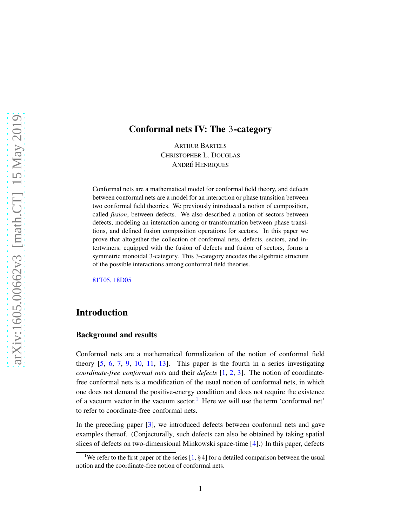## Conformal nets IV: The 3-category

ARTHUR BARTELS CHRISTOPHER L. DOUGLAS ANDRÉ HENRIQUES

Conformal nets are a mathematical model for conformal field theory, and defects between conformal nets are a model for an interaction or phase transition between two conformal field theories. We previously introduced a notion of composition, called *fusion*, between defects. We also described a notion of sectors between defects, modeling an interaction among or transformation between phase transitions, and defined fusion composition operations for sectors. In this paper we prove that altogether the collection of conformal nets, defects, sectors, and intertwiners, equipped with the fusion of defects and fusion of sectors, forms a symmetric monoidal 3-category. This 3-category encodes the algebraic structure of the possible interactions among conformal field theories.

[81T05, 18D05](http://www.ams.org/mathscinet/search/mscdoc.html?code=81T05, 18D05)

## Introduction

#### Background and results

Conformal nets are a mathematical formalization of the notion of conformal field theory [5, 6, 7, 9, 10, 11, 13]. This paper is the fourth in a series investigating *coordinate-free conformal nets* and their *defects* [1, 2, 3]. The notion of coordinatefree conformal nets is a modification of the usual notion of conformal nets, in which one does not demand the positive-energy condition and does not require the existence of a vacuum vector in the vacuum sector.<sup>[1](#page-0-0)</sup> Here we will use the term 'conformal net' to refer to coordinate-free conformal nets.

In the preceding paper [3], we introduced defects between conformal nets and gave examples thereof. (Conjecturally, such defects can also be obtained by taking spatial slices of defects on two-dimensional Minkowski space-time [4].) In this paper, defects

<span id="page-0-0"></span><sup>&</sup>lt;sup>1</sup>We refer to the first paper of the series  $[1, §4]$  for a detailed comparison between the usual notion and the coordinate-free notion of conformal nets.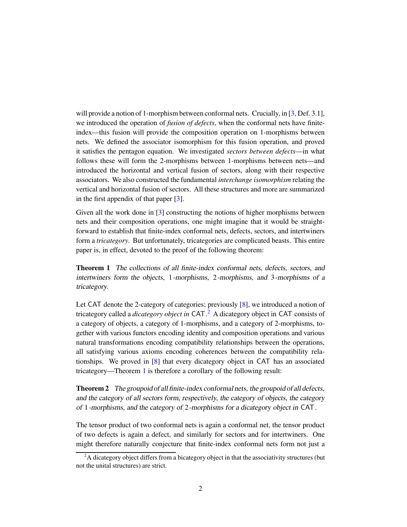will provide a notion of 1-morphism between conformal nets. Crucially, in [3, Def. 3.1], we introduced the operation of *fusion of defects*, when the conformal nets have finiteindex—this fusion will provide the composition operation on 1-morphisms between nets. We defined the associator isomorphism for this fusion operation, and proved it satisfies the pentagon equation. We investigated *sectors between defects*—in what follows these will form the 2-morphisms between 1-morphisms between nets—and introduced the horizontal and vertical fusion of sectors, along with their respective associators. We also constructed the fundamental *interchange isomorphism* relating the vertical and horizontal fusion of sectors. All these structures and more are summarized in the first appendix of that paper [3].

Given all the work done in [3] constructing the notions of higher morphisms between nets and their composition operations, one might imagine that it would be straightforward to establish that finite-index conformal nets, defects, sectors, and intertwiners form a *tricategory*. But unfortunately, tricategories are complicated beasts. This entire paper is, in effect, devoted to the proof of the following theorem:

<span id="page-1-1"></span>Theorem 1 The collections of all finite-index conformal nets, defects, sectors, and intertwiners form the objects, 1-morphisms, 2-morphisms, and 3-morphisms of <sup>a</sup> tricategory.

Let CAT denote the 2-category of categories; previously [8], we introduced a notion of tricategory called a *dicategory object in* CAT. [2](#page-1-0) A dicategory object in CAT consists of a category of objects, a category of 1-morphisms, and a category of 2-morphisms, together with various functors encoding identity and composition operations and various natural transformations encoding compatibility relationships between the operations, all satisfying various axioms encoding coherences between the compatibility relationships. We proved in [8] that every dicategory object in CAT has an associated tricategory—Theorem [1](#page-1-1) is therefore a corollary of the following result:

<span id="page-1-2"></span>Theorem 2 The groupoid of all finite-index conformal nets, the groupoid of all defects, and the category of all sectors form, respectively, the category of objects, the category of 1-morphisms, and the category of 2-morphisms for <sup>a</sup> dicategory object in CAT.

The tensor product of two conformal nets is again a conformal net, the tensor product of two defects is again a defect, and similarly for sectors and for intertwiners. One might therefore naturally conjecture that finite-index conformal nets form not just a

<span id="page-1-0"></span><sup>&</sup>lt;sup>2</sup>A dicategory object differs from a bicategory object in that the associativity structures (but not the unital structures) are strict.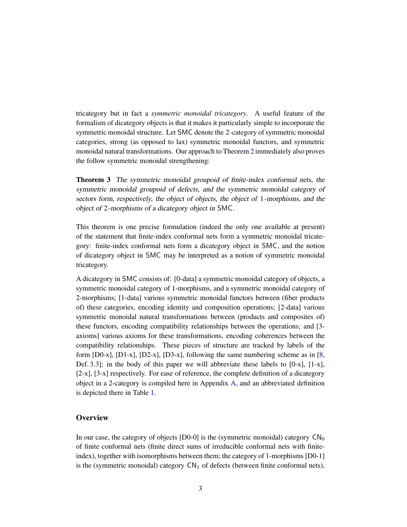tricategory but in fact a *symmetric monoidal tricategory*. A useful feature of the formalism of dicategory objects is that it makes it particularly simple to incorporate the symmetric monoidal structure. Let SMC denote the 2-category of symmetric monoidal categories, strong (as opposed to lax) symmetric monoidal functors, and symmetric monoidal natural transformations. Our approach to Theorem [2](#page-1-2) immediately also proves the follow symmetric monoidal strengthening:

Theorem 3 The symmetric monoidal groupoid of finite-index conformal nets, the symmetric monoidal groupoid of defects, and the symmetric monoidal category of sectors form, respectively, the object of objects, the object of 1-morphisms, and the object of 2-morphisms of <sup>a</sup> dicategory object in SMC.

This theorem is one precise formulation (indeed the only one available at present) of the statement that finite-index conformal nets form a symmetric monoidal tricategory: finite-index conformal nets form a dicategory object in SMC, and the notion of dicategory object in SMC may be interpreted as a notion of symmetric monoidal tricategory.

A dicategory in SMC consists of: [0-data] a symmetric monoidal category of objects, a symmetric monoidal category of 1-morphisms, and a symmetric monoidal category of 2-morphisms; [1-data] various symmetric monoidal functors between (fiber products of) these categories, encoding identity and composition operations; [2-data] various symmetric monoidal natural transformations between (products and composites of) these functors, encoding compatibility relationships between the operations; and [3 axioms] various axioms for these transformations, encoding coherences between the compatibility relationships. These pieces of structure are tracked by labels of the form [D0-x], [D1-x], [D2-x], [D3-x], following the same numbering scheme as in  $[8, 8]$ Def. 3.3]; in the body of this paper we will abbreviate these labels to  $[0-x]$ ,  $[1-x]$ , [2-x], [3-x] respectively. For ease of reference, the complete definition of a dicategory object in a 2-category is compiled here in Appendix  $\overline{A}$ , and an abbreviated definition is depicted there in Table [1.](#page-57-1)

## **Overview**

In our case, the category of objects  $[D0-0]$  is the (symmetric monoidal) category  $CN_0$ of finite conformal nets (finite direct sums of irreducible conformal nets with finiteindex), together with isomorphisms between them; the category of 1-morphisms [D0-1] is the (symmetric monoidal) category  $CN_1$  of defects (between finite conformal nets),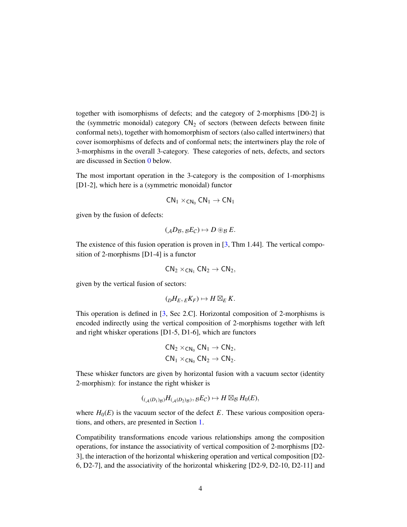together with isomorphisms of defects; and the category of 2-morphisms [D0-2] is the (symmetric monoidal) category  $CN<sub>2</sub>$  of sectors (between defects between finite conformal nets), together with homomorphism of sectors (also called intertwiners) that cover isomorphisms of defects and of conformal nets; the intertwiners play the role of 3-morphisms in the overall 3-category. These categories of nets, defects, and sectors are discussed in Section [0](#page-4-0) below.

The most important operation in the 3-category is the composition of 1-morphisms [D1-2], which here is a (symmetric monoidal) functor

$$
\mathsf{CN}_1\times_{\mathsf{CN}_0}\mathsf{CN}_1\to\mathsf{CN}_1
$$

given by the fusion of defects:

$$
({_{\mathcal{A}}D_{\mathcal{B}}}, {_{\mathcal{B}}E_{\mathcal{C}}}) \mapsto D \circledast_{\mathcal{B}} E.
$$

The existence of this fusion operation is proven in [3, Thm 1.44]. The vertical composition of 2-morphisms [D1-4] is a functor

$$
CN_2\times_{CN_1} CN_2 \rightarrow CN_2,
$$

given by the vertical fusion of sectors:

$$
({}_D H_E, {}_E K_F) \mapsto H \boxtimes_E K.
$$

This operation is defined in [3, Sec 2.C]. Horizontal composition of 2-morphisms is encoded indirectly using the vertical composition of 2-morphisms together with left and right whisker operations [D1-5, D1-6], which are functors

$$
\begin{aligned} &\mathsf{CN}_2\times_{\mathsf{CN}_0}\mathsf{CN}_1\rightarrow\mathsf{CN}_2,\\ &\mathsf{CN}_1\times_{\mathsf{CN}_0}\mathsf{CN}_2\rightarrow\mathsf{CN}_2. \end{aligned}
$$

These whisker functors are given by horizontal fusion with a vacuum sector (identity 2-morphism): for instance the right whisker is

$$
(({}_{\mathcal{A}}(D_1)_{\mathcal{B}})H_{(\mathcal{A}}(D_2)_{\mathcal{B}}), gE_{\mathcal{C}}) \mapsto H \boxtimes_{\mathcal{B}} H_0(E),
$$

where  $H_0(E)$  is the vacuum sector of the defect  $E$ . These various composition operations, and others, are presented in Section [1.](#page-9-0)

Compatibility transformations encode various relationships among the composition operations, for instance the associativity of vertical composition of 2-morphisms [D2- 3], the interaction of the horizontal whiskering operation and vertical composition [D2- 6, D2-7], and the associativity of the horizontal whiskering [D2-9, D2-10, D2-11] and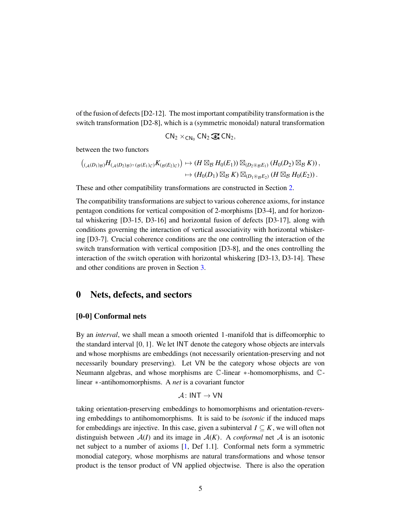of the fusion of defects [D2-12]. The most important compatibility transformation is the switch transformation [D2-8], which is a (symmetric monoidal) natural transformation

$$
CN_2\times_{CN_0} CN_2\mathbin{\widehat{\otimes}} CN_2,
$$

between the two functors

$$
\left((\mathcal{A}(D_1)_{\mathcal{B}})H_{(\mathcal{A}(D_2)_{\mathcal{B}})},\mathcal{B}(E_1)_{\mathcal{C}})K_{(\mathcal{B}(E_2)_{\mathcal{C}})}\right)\mapsto \left(H\boxtimes_{\mathcal{B}}H_0(E_1)\right)\boxtimes_{(D_2\otimes_{\mathcal{B}}E_1)}\left(H_0(D_2)\boxtimes_{\mathcal{B}}K\right),\mapsto \left(H_0(D_1)\boxtimes_{\mathcal{B}}K\right)\boxtimes_{(D_1\otimes_{\mathcal{B}}E_2)}\left(H\boxtimes_{\mathcal{B}}H_0(E_2)\right).
$$

These and other compatibility transformations are constructed in Section [2.](#page-16-0)

The compatibility transformations are subject to various coherence axioms, for instance pentagon conditions for vertical composition of 2-morphisms [D3-4], and for horizontal whiskering [D3-15, D3-16] and horizontal fusion of defects [D3-17], along with conditions governing the interaction of vertical associativity with horizontal whiskering [D3-7]. Crucial coherence conditions are the one controlling the interaction of the switch transformation with vertical composition [D3-8], and the ones controlling the interaction of the switch operation with horizontal whiskering [D3-13, D3-14]. These and other conditions are proven in Section [3.](#page-31-0)

## <span id="page-4-0"></span>0 Nets, defects, and sectors

#### [0-0] Conformal nets

By an *interval*, we shall mean a smooth oriented 1-manifold that is diffeomorphic to the standard interval [0, 1]. We let INT denote the category whose objects are intervals and whose morphisms are embeddings (not necessarily orientation-preserving and not necessarily boundary preserving). Let VN be the category whose objects are von Neumann algebras, and whose morphisms are C-linear ∗-homomorphisms, and Clinear ∗-antihomomorphisms. A *net* is a covariant functor

$$
\mathcal{A}\colon \mathsf{INT} \to \mathsf{VN}
$$

taking orientation-preserving embeddings to homomorphisms and orientation-reversing embeddings to antihomomorphisms. It is said to be *isotonic* if the induced maps for embeddings are injective. In this case, given a subinterval  $I \subseteq K$ , we will often not distinguish between  $A(I)$  and its image in  $A(K)$ . A *conformal* net A is an isotonic net subject to a number of axioms [1, Def 1.1]. Conformal nets form a symmetric monodial category, whose morphisms are natural transformations and whose tensor product is the tensor product of VN applied objectwise. There is also the operation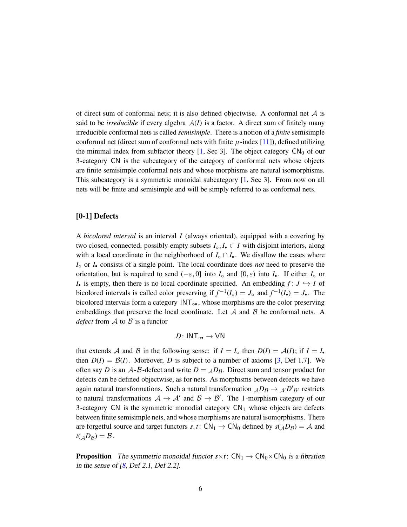of direct sum of conformal nets; it is also defined objectwise. A conformal net  $A$  is said to be *irreducible* if every algebra  $A(I)$  is a factor. A direct sum of finitely many irreducible conformal nets is called *semisimple*. There is a notion of a *finite* semisimple conformal net (direct sum of conformal nets with finite  $\mu$ -index [11]), defined utilizing the minimal index from subfactor theory  $[1,$  Sec 3]. The object category  $CN_0$  of our 3-category CN is the subcategory of the category of conformal nets whose objects are finite semisimple conformal nets and whose morphisms are natural isomorphisms. This subcategory is a symmetric monoidal subcategory [1, Sec 3]. From now on all nets will be finite and semisimple and will be simply referred to as conformal nets.

#### [0-1] Defects

A *bicolored interval* is an interval *I* (always oriented), equipped with a covering by two closed, connected, possibly empty subsets  $I_{\circ}, I_{\bullet} \subset I$  with disjoint interiors, along with a local coordinate in the neighborhood of  $I_{\circ} \cap I_{\bullet}$ . We disallow the cases where *I*◦ or *I*• consists of a single point. The local coordinate does *not* need to preserve the orientation, but is required to send  $(-\varepsilon, 0]$  into  $I_0$  and  $[0, \varepsilon)$  into  $I_0$ . If either  $I_0$  or *I*• is empty, then there is no local coordinate specified. An embedding  $f: J \hookrightarrow I$  of bicolored intervals is called color preserving if  $f^{-1}(I_0) = J_0$  and  $f^{-1}(I_0) = J_0$ . The bicolored intervals form a category INT.<sup>•</sup>•, whose morphisms are the color preserving embeddings that preserve the local coordinate. Let  $A$  and  $B$  be conformal nets. A *defect* from  $\mathcal A$  to  $\mathcal B$  is a functor

$$
D\colon \mathsf{INT}_{\circ\bullet}\to\mathsf{VN}
$$

that extends A and B in the following sense: if  $I = I_0$  then  $D(I) = A(I)$ ; if  $I = I_0$ then  $D(I) = B(I)$ . Moreover, *D* is subject to a number of axioms [3, Def 1.7]. We often say *D* is an  $A - B$ -defect and write  $D = A B B$ . Direct sum and tensor product for defects can be defined objectwise, as for nets. As morphisms between defects we have again natural transformations. Such a natural transformation  $_{\mathcal{A}}D_{\mathcal{B}} \to {_{\mathcal{A'}}D'}_{\mathcal{B'}}$  restricts to natural transformations  $A \rightarrow A'$  and  $B \rightarrow B'$ . The 1-morphism category of our 3-category CN is the symmetric monodial category  $CN_1$  whose objects are defects between finite semisimple nets, and whose morphisms are natural isomorphisms. There are forgetful source and target functors *s*, *t*: CN<sub>1</sub>  $\rightarrow$  CN<sub>0</sub> defined by *s*( $_{A}D_{B}$ ) = A and  $t(AD_{\mathcal{B}}) = \mathcal{B}.$ 

**Proposition** The symmetric monoidal functor  $s \times t$ : CN<sub>1</sub>  $\rightarrow$  CN<sub>0</sub>  $\times$ CN<sub>0</sub> is a fibration in the sense of  $[8,$  Def 2.1, Def 2.2].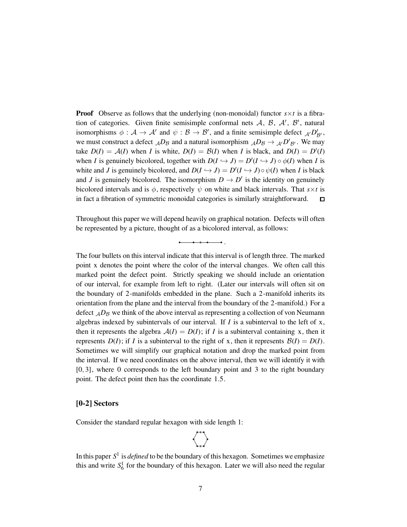**Proof** Observe as follows that the underlying (non-monoidal) functor  $s \times t$  is a fibration of categories. Given finite semisimple conformal nets  $A$ ,  $B$ ,  $A'$ ,  $B'$ , natural isomorphisms  $\phi : A \to A'$  and  $\psi : B \to B'$ , and a finite semisimple defect  $_{A'}D'_{B'}$ , we must construct a defect  $_{\mathcal{A}}D_{\mathcal{B}}$  and a natural isomorphism  $_{\mathcal{A}}D_{\mathcal{B}} \to {_{\mathcal{A'}}D'}_{\mathcal{B'}}$ . We may take  $D(I) = A(I)$  when *I* is white,  $D(I) = B(I)$  when *I* is black, and  $D(I) = D'(I)$ when *I* is genuinely bicolored, together with  $D(I \hookrightarrow J) = D'(I \hookrightarrow J) \circ \phi(I)$  when *I* is white and *J* is genuinely bicolored, and  $D(I \hookrightarrow J) = D'(I \hookrightarrow J) \circ \psi(I)$  when *I* is black and *J* is genuinely bicolored. The isomorphism  $D \to D'$  is the identity on genuinely bicolored intervals and is  $\phi$ , respectively  $\psi$  on white and black intervals. That  $s \times t$  is in fact a fibration of symmetric monoidal categories is similarly straightforward.  $\Box$ 

Throughout this paper we will depend heavily on graphical notation. Defects will often be represented by a picture, thought of as a bicolored interval, as follows:

.

The four bullets on this interval indicate that this interval is of length three. The marked point x denotes the point where the color of the interval changes. We often call this marked point the defect point. Strictly speaking we should include an orientation of our interval, for example from left to right. (Later our intervals will often sit on the boundary of 2-manifolds embedded in the plane. Such a 2-manifold inherits its orientation from the plane and the interval from the boundary of the 2-manifold.) For a defect  $<sub>A</sub>D<sub>B</sub>$  we think of the above interval as representing a collection of von Neumann</sub> algebras indexed by subintervals of our interval. If *I* is a subinterval to the left of x, then it represents the algebra  $A(I) = D(I)$ ; if *I* is a subinterval containing x, then it represents  $D(I)$ ; if *I* is a subinterval to the right of x, then it represents  $B(I) = D(I)$ . Sometimes we will simplify our graphical notation and drop the marked point from the interval. If we need coordinates on the above interval, then we will identify it with [0, 3], where 0 corresponds to the left boundary point and 3 to the right boundary point. The defect point then has the coordinate 1.5.

#### [0-2] Sectors

Consider the standard regular hexagon with side length 1:



In this paper  $S^1$  is *defined* to be the boundary of this hexagon. Sometimes we emphasize this and write  $S_6^1$  for the boundary of this hexagon. Later we will also need the regular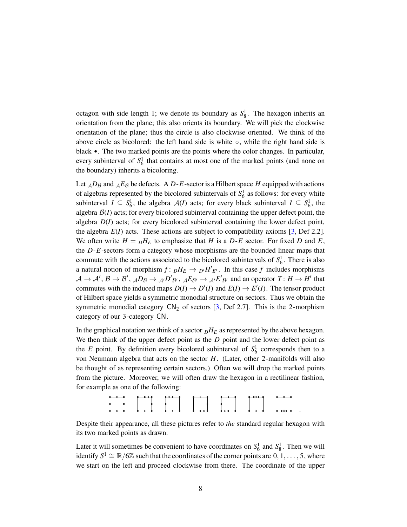octagon with side length 1; we denote its boundary as  $S_8^1$ . The hexagon inherits an orientation from the plane; this also orients its boundary. We will pick the clockwise orientation of the plane; thus the circle is also clockwise oriented. We think of the above circle as bicolored: the left hand side is white  $\circ$ , while the right hand side is black •. The two marked points are the points where the color changes. In particular, every subinterval of  $S_6^1$  that contains at most one of the marked points (and none on the boundary) inherits a bicoloring.

Let  $_{A}D_{B}$  and  $_{A}E_{B}$  be defects. A *D*-*E*-sector is a Hilbert space *H* equipped with actions of algebras represented by the bicolored subintervals of  $S_6^1$  as follows: for every white subinterval  $I \subseteq S_6^1$ , the algebra  $A(I)$  acts; for every black subinterval  $I \subseteq S_6^1$ , the algebra  $B(I)$  acts; for every bicolored subinterval containing the upper defect point, the algebra *D*(*I*) acts; for every bicolored subinterval containing the lower defect point, the algebra  $E(I)$  acts. These actions are subject to compatibility axioms [3, Def 2.2]. We often write  $H = pH_E$  to emphasize that *H* is a *D-E* sector. For fixed *D* and *E*, the *D*-*E*-sectors form a category whose morphisms are the bounded linear maps that commute with the actions associated to the bicolored subintervals of  $S_6^1$ . There is also a natural notion of morphism  $f: pH_E \to p'H'_{E'}$ . In this case  $f$  includes morphisms  $\mathcal{A} \to \mathcal{A}'$ ,  $\mathcal{B} \to \mathcal{B}'$ ,  ${}_{\mathcal{A}}D_{\mathcal{B}} \to {}_{\mathcal{A}'}D'_{\mathcal{B}'}$ ,  ${}_{\mathcal{A}}E_{\mathcal{B}'} \to {}_{\mathcal{A}'}E'_{\mathcal{B}'}$  and an operator  $T: H \to H'$  that commutes with the induced maps  $D(I) \to D'(I)$  and  $E(I) \to E'(I)$ . The tensor product of Hilbert space yields a symmetric monodial structure on sectors. Thus we obtain the symmetric monodial category  $CN_2$  of sectors [3, Def 2.7]. This is the 2-morphism category of our 3-category CN.

In the graphical notation we think of a sector  $DH_E$  as represented by the above hexagon. We then think of the upper defect point as the *D* point and the lower defect point as the *E* point. By definition every bicolored subinterval of  $S_6^1$  corresponds then to a von Neumann algebra that acts on the sector *H*. (Later, other 2-manifolds will also be thought of as representing certain sectors.) Often we will drop the marked points from the picture. Moreover, we will often draw the hexagon in a rectilinear fashion, for example as one of the following:



Despite their appearance, all these pictures refer to *the* standard regular hexagon with its two marked points as drawn.

Later it will sometimes be convenient to have coordinates on  $S_6^1$  and  $S_8^1$ . Then we will identify  $S^1 \cong \mathbb{R}/6\mathbb{Z}$  such that the coordinates of the corner points are  $0, 1, \ldots, 5$ , where we start on the left and proceed clockwise from there. The coordinate of the upper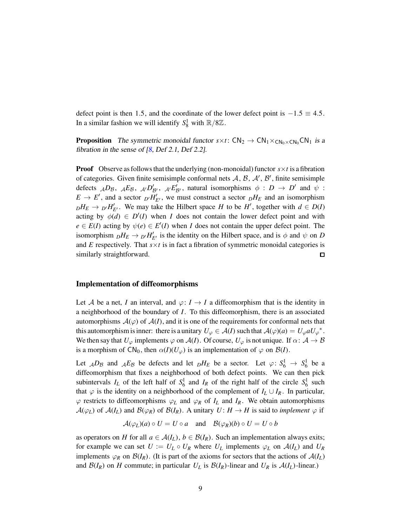defect point is then 1.5, and the coordinate of the lower defect point is  $-1.5 \equiv 4.5$ . In a similar fashion we will identify  $S_8^1$  with  $\mathbb{R}/8\mathbb{Z}$ .

**Proposition** The symmetric monoidal functor  $s \times t$ : CN<sub>2</sub>  $\rightarrow$  CN<sub>1</sub>  $\times$ <sub>CN0</sub>×CN<sub>0</sub>CN<sub>1</sub> is a fibration in the sense of  $[8,$  Def 2.1, Def 2.2].

**Proof** Observe as follows that the underlying (non-monoidal) functor  $s \times t$  is a fibration of categories. Given finite semisimple conformal nets  $A$ ,  $B$ ,  $A'$ ,  $B'$ , finite semisimple defects  $_{\mathcal{A}}D_{\mathcal{B}}, \mathcal{A}E_{\mathcal{B}}, \mathcal{A}'D'_{\mathcal{B}'}, \mathcal{A}'E'_{\mathcal{B}'},$  natural isomorphisms  $\phi : D \to D'$  and  $\psi :$  $E \rightarrow E'$ , and a sector  $D'H'_{E'}$ , we must construct a sector  $DH_E$  and an isomorphism  $D$ <sup>*H*</sup>*E* →  $D'$ <sup>*H*</sup><sup>*E'*</sup>. We may take the Hilbert space *H* to be *H*<sup>*'*</sup>, together with  $d \in D(I)$ acting by  $\phi(d) \in D'(I)$  when *I* does not contain the lower defect point and with  $e \in E(I)$  acting by  $\psi(e) \in E'(I)$  when *I* does not contain the upper defect point. The isomorphism  $_D H_E \to D'H'_{E'}$  is the identity on the Hilbert space, and is  $\phi$  and  $\psi$  on *D* and  $E$  respectively. That  $s \times t$  is in fact a fibration of symmetric monoidal categories is similarly straightforward.  $\Box$ 

#### Implementation of diffeomorphisms

Let A be a net, I an interval, and  $\varphi: I \to I$  a diffeomorphism that is the identity in a neighborhood of the boundary of *I*. To this diffeomorphism, there is an associated automorphisms  $\mathcal{A}(\varphi)$  of  $\mathcal{A}(I)$ , and it is one of the requirements for conformal nets that this automorphism is inner: there is a unitary  $U_{\varphi} \in \mathcal{A}(I)$  such that  $\mathcal{A}(\varphi)(a) = U_{\varphi} a U_{\varphi}^*$ . We then say that  $U_\varphi$  implements  $\varphi$  on  $\mathcal{A}(I)$ . Of course,  $U_\varphi$  is not unique. If  $\alpha: \mathcal{A} \to \mathcal{B}$ is a morphism of  $CN_0$ , then  $\alpha(I)(U_{\varphi})$  is an implementation of  $\varphi$  on  $\mathcal{B}(I)$ .

Let  $_{\mathcal{A}}D_{\mathcal{B}}$  and  $_{\mathcal{A}}E_{\mathcal{B}}$  be defects and let  $_{D}H_{E}$  be a sector. Let  $\varphi\colon S_6^1 \to S_6^1$  be a diffeomorphism that fixes a neighborhood of both defect points. We can then pick subintervals  $I_L$  of the left half of  $S_6^1$  and  $I_R$  of the right half of the circle  $S_6^1$  such that  $\varphi$  is the identity on a neighborhood of the complement of  $I_L \cup I_R$ . In particular,  $\varphi$  restricts to diffeomorphisms  $\varphi_L$  and  $\varphi_R$  of  $I_L$  and  $I_R$ . We obtain automorphisms  $\mathcal{A}(\varphi_L)$  of  $\mathcal{A}(I_L)$  and  $\mathcal{B}(\varphi_R)$  of  $\mathcal{B}(I_R)$ . A unitary  $U: H \to H$  is said to *implement*  $\varphi$  if

 $\mathcal{A}(\varphi_L)(a) \circ U = U \circ a$  and  $\mathcal{B}(\varphi_R)(b) \circ U = U \circ b$ 

as operators on *H* for all  $a \in \mathcal{A}(I_L)$ ,  $b \in \mathcal{B}(I_R)$ . Such an implementation always exits; for example we can set  $U := U_L \circ U_R$  where  $U_L$  implements  $\varphi_L$  on  $A(I_L)$  and  $U_R$ implements  $\varphi_R$  on  $\mathcal{B}(I_R)$ . (It is part of the axioms for sectors that the actions of  $\mathcal{A}(I_L)$ and  $\mathcal{B}(I_R)$  on *H* commute; in particular  $U_L$  is  $\mathcal{B}(I_R)$ -linear and  $U_R$  is  $\mathcal{A}(I_L)$ -linear.)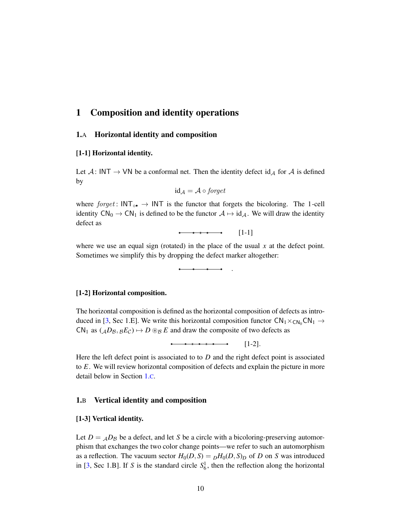## <span id="page-9-0"></span>1 Composition and identity operations

#### 1.A Horizontal identity and composition

#### [1-1] Horizontal identity.

Let  $A: INT \rightarrow VN$  be a conformal net. Then the identity defect id<sub>A</sub> for A is defined by

$$
id_{\mathcal{A}} = \mathcal{A} \circ \text{forget}
$$

where  $forget: INT_{\circ \bullet} \rightarrow INT$  is the functor that forgets the bicoloring. The 1-cell identity  $CN_0 \rightarrow CN_1$  is defined to be the functor  $A \mapsto id_A$ . We will draw the identity defect as

[1-1]

.

where we use an equal sign (rotated) in the place of the usual x at the defect point. Sometimes we simplify this by dropping the defect marker altogether:

#### [1-2] Horizontal composition.

The horizontal composition is defined as the horizontal composition of defects as introduced in [3, Sec 1.E]. We write this horizontal composition functor  $CN_1 \times_{CN_0} CN_1 \rightarrow$  $CN_1$  as  $({_{A}D_B}, {_{B}E_C}) \mapsto D \otimes_{B} E$  and draw the composite of two defects as

[1-2].

Here the left defect point is associated to to *D* and the right defect point is associated to *E*. We will review horizontal composition of defects and explain the picture in more detail below in Section [1.](#page-11-0)C.

#### 1.B Vertical identity and composition

#### [1-3] Vertical identity.

Let  $D = \mathcal{A}D_B$  be a defect, and let *S* be a circle with a bicoloring-preserving automorphism that exchanges the two color change points—we refer to such an automorphism as a reflection. The vacuum sector  $H_0(D, S) = pH_0(D, S)p$  of *D* on *S* was introduced in [3, Sec 1.B]. If *S* is the standard circle  $S_6^1$ , then the reflection along the horizontal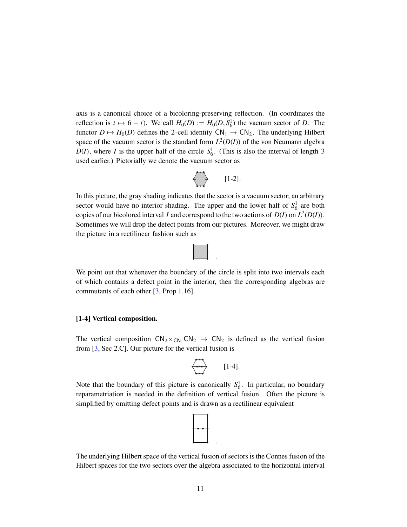axis is a canonical choice of a bicoloring-preserving reflection. (In coordinates the reflection is  $t \mapsto 6 - t$ ). We call  $H_0(D) := H_0(D, S_6^1)$  the vacuum sector of *D*. The functor  $D \mapsto H_0(D)$  defines the 2-cell identity  $CN_1 \rightarrow CN_2$ . The underlying Hilbert space of the vacuum sector is the standard form  $L^2(D(I))$  of the von Neumann algebra  $D(I)$ , where *I* is the upper half of the circle  $S_6^1$ . (This is also the interval of length 3 used earlier.) Pictorially we denote the vacuum sector as

$$
\left\langle \right\rangle \qquad [1-2].
$$

In this picture, the gray shading indicates that the sector is a vacuum sector; an arbitrary sector would have no interior shading. The upper and the lower half of  $S_6^1$  are both copies of our bicolored interval *I* and correspond to the two actions of  $D(I)$  on  $L^2(D(I))$ . Sometimes we will drop the defect points from our pictures. Moreover, we might draw the picture in a rectilinear fashion such as



We point out that whenever the boundary of the circle is split into two intervals each of which contains a defect point in the interior, then the corresponding algebras are commutants of each other [3, Prop 1.16].

#### [1-4] Vertical composition.

The vertical composition  $CN_2\times_{CN_1}CN_2 \rightarrow CN_2$  is defined as the vertical fusion from [3, Sec 2.C]. Our picture for the vertical fusion is

$$
\left\langle \begin{array}{c} \ast \ast \\ \ast \ast \end{array} \right\rangle \qquad [1-4].
$$

Note that the boundary of this picture is canonically  $S_6^1$ . In particular, no boundary reparametriation is needed in the definition of vertical fusion. Often the picture is simplified by omitting defect points and is drawn as a rectilinear equivalent



The underlying Hilbert space of the vertical fusion of sectors is the Connes fusion of the Hilbert spaces for the two sectors over the algebra associated to the horizontal interval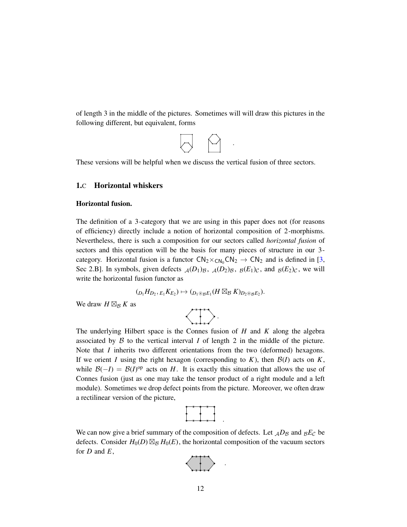of length 3 in the middle of the pictures. Sometimes will will draw this pictures in the following different, but equivalent, forms



.

<span id="page-11-0"></span>These versions will be helpful when we discuss the vertical fusion of three sectors.

#### 1.C Horizontal whiskers

#### Horizontal fusion.

The definition of a 3-category that we are using in this paper does not (for reasons of efficiency) directly include a notion of horizontal composition of 2-morphisms. Nevertheless, there is such a composition for our sectors called *horizontal fusion* of sectors and this operation will be the basis for many pieces of structure in our 3 category. Horizontal fusion is a functor  $CN_2 \times_{CN_0} CN_2 \rightarrow CN_2$  and is defined in [3, Sec 2.B]. In symbols, given defects  $_A(D_1)_{\mathcal{B}}$ ,  $_A(D_2)_{\mathcal{B}}$ ,  $_B(E_1)_{\mathcal{C}}$ , and  $_B(E_2)_{\mathcal{C}}$ , we will write the horizontal fusion functor as

$$
({}_{D_1}H_{D_2}, {_{E_1}K_{E_2}}) \mapsto ({{}_{D_1\circledast_B E_1}}(H\boxtimes_B K)_{{D_2\circledast_B E_2}}).
$$

We draw  $H \boxtimes_B K$  as



The underlying Hilbert space is the Connes fusion of *H* and *K* along the algebra associated by  $\beta$  to the vertical interval *I* of length 2 in the middle of the picture. Note that *I* inherits two different orientations from the two (deformed) hexagons. If we orient *I* using the right hexagon (corresponding to  $K$ ), then  $\mathcal{B}(I)$  acts on  $K$ , while  $\mathcal{B}(-I) = \mathcal{B}(I)$ <sup>op</sup> acts on *H*. It is exactly this situation that allows the use of Connes fusion (just as one may take the tensor product of a right module and a left module). Sometimes we drop defect points from the picture. Moreover, we often draw a rectilinear version of the picture,

.

.

We can now give a brief summary of the composition of defects. Let  $AD_B$  and  $B_E$  be defects. Consider  $H_0(D) \boxtimes_B H_0(E)$ , the horizontal composition of the vacuum sectors for *D* and *E*,

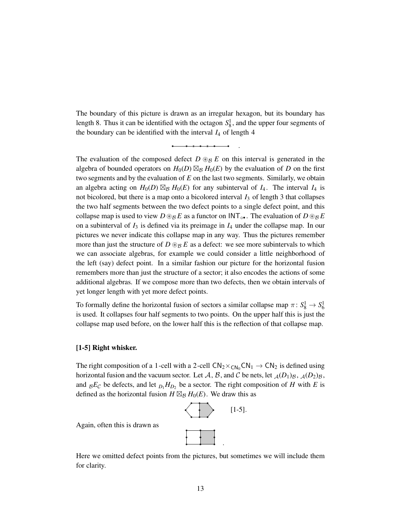The boundary of this picture is drawn as an irregular hexagon, but its boundary has length 8. Thus it can be identified with the octagon  $S_8^1$ , and the upper four segments of the boundary can be identified with the interval  $I_4$  of length 4

.

The evaluation of the composed defect  $D \otimes_B E$  on this interval is generated in the algebra of bounded operators on  $H_0(D) \boxtimes_B H_0(E)$  by the evaluation of *D* on the first two segments and by the evaluation of *E* on the last two segments. Similarly, we obtain an algebra acting on  $H_0(D) \boxtimes_B H_0(E)$  for any subinterval of  $I_4$ . The interval  $I_4$  is not bicolored, but there is a map onto a bicolored interval *I*<sup>3</sup> of length 3 that collapses the two half segments between the two defect points to a single defect point, and this collapse map is used to view  $D \otimes_{\mathcal{B}} E$  as a functor on  $INT_{\circ \bullet}$ . The evaluation of  $D \otimes_{\mathcal{B}} E$ on a subinterval of *I*<sup>3</sup> is defined via its preimage in *I*<sup>4</sup> under the collapse map. In our pictures we never indicate this collapse map in any way. Thus the pictures remember more than just the structure of  $D \otimes_B E$  as a defect: we see more subintervals to which we can associate algebras, for example we could consider a little neighborhood of the left (say) defect point. In a similar fashion our picture for the horizontal fusion remembers more than just the structure of a sector; it also encodes the actions of some additional algebras. If we compose more than two defects, then we obtain intervals of yet longer length with yet more defect points.

To formally define the horizontal fusion of sectors a similar collapse map  $\pi: S_8^1 \to S_6^1$ is used. It collapses four half segments to two points. On the upper half this is just the collapse map used before, on the lower half this is the reflection of that collapse map.

#### [1-5] Right whisker.

The right composition of a 1-cell with a 2-cell  $CN_2 \times_{CN_0} CN_1 \rightarrow CN_2$  is defined using horizontal fusion and the vacuum sector. Let A, B, and C be nets, let  $_A(D_1)_B$ ,  $_A(D_2)_B$ , and  ${}_{\mathcal{B}}E_{\mathcal{C}}$  be defects, and let  ${}_{D_1}H_{D_2}$  be a sector. The right composition of *H* with *E* is defined as the horizontal fusion  $H \boxtimes_B H_0(E)$ . We draw this as



Again, often this is drawn as

Here we omitted defect points from the pictures, but sometimes we will include them for clarity.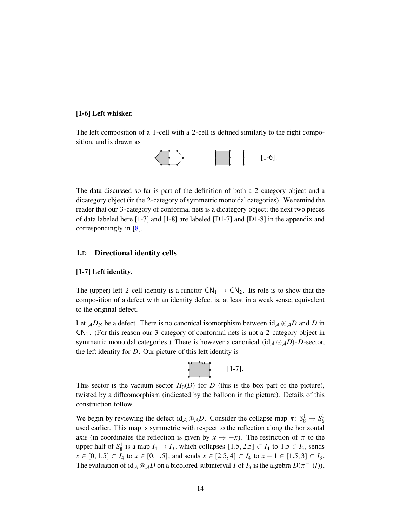## [1-6] Left whisker.

The left composition of a 1-cell with a 2-cell is defined similarly to the right composition, and is drawn as



The data discussed so far is part of the definition of both a 2-category object and a dicategory object (in the 2-category of symmetric monoidal categories). We remind the reader that our 3-category of conformal nets is a dicategory object; the next two pieces of data labeled here [1-7] and [1-8] are labeled [D1-7] and [D1-8] in the appendix and correspondingly in [8].

#### 1.D Directional identity cells

#### [1-7] Left identity.

The (upper) left 2-cell identity is a functor  $CN_1 \rightarrow CN_2$ . Its role is to show that the composition of a defect with an identity defect is, at least in a weak sense, equivalent to the original defect.

Let  $_A D_B$  be a defect. There is no canonical isomorphism between  $\mathrm{id}_A \otimes_A D$  and *D* in  $CN<sub>1</sub>$ . (For this reason our 3-category of conformal nets is not a 2-category object in symmetric monoidal categories.) There is however a canonical (id<sub>A</sub>  $\mathcal{B}_A D$ )-*D*-sector, the left identity for *D*. Our picture of this left identity is



This sector is the vacuum sector  $H_0(D)$  for *D* (this is the box part of the picture), twisted by a diffeomorphism (indicated by the balloon in the picture). Details of this construction follow.

We begin by reviewing the defect  $id_A \otimes_A D$ . Consider the collapse map  $\pi: S_8^1 \to S_6^1$ used earlier. This map is symmetric with respect to the reflection along the horizontal axis (in coordinates the reflection is given by  $x \mapsto -x$ ). The restriction of  $\pi$  to the upper half of  $S_8^1$  is a map  $I_4 \rightarrow I_3$ , which collapses  $[1.5, 2.5] \subset I_4$  to  $1.5 \in I_3$ , sends *x* ∈ [0, 1.5] ⊂ *I*<sub>4</sub> to *x* ∈ [0, 1.5], and sends *x* ∈ [2.5, 4] ⊂ *I*<sub>4</sub> to *x* − 1 ∈ [1.5, 3] ⊂ *I*<sub>3</sub>. The evaluation of  $id_A \otimes_A D$  on a bicolored subinterval *I* of *I*<sub>3</sub> is the algebra  $D(\pi^{-1}(I))$ .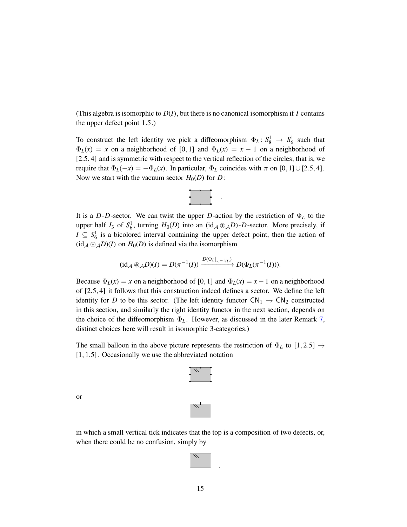(This algebra is isomorphic to  $D(I)$ , but there is no canonical isomorphism if *I* contains the upper defect point 1.5.)

To construct the left identity we pick a diffeomorphism  $\Phi_L: S_8^1 \to S_6^1$  such that  $\Phi_L(x) = x$  on a neighborhood of [0, 1] and  $\Phi_L(x) = x - 1$  on a neighborhood of [2.5, 4] and is symmetric with respect to the vertical reflection of the circles; that is, we require that  $\Phi_L(-x) = -\Phi_L(x)$ . In particular,  $\Phi_L$  coincides with  $\pi$  on [0, 1]∪[2.5, 4]. Now we start with the vacuum sector  $H_0(D)$  for *D*:



It is a *D*-*D*-sector. We can twist the upper *D*-action by the restriction of  $\Phi_L$  to the upper half  $I_3$  of  $S_6^1$ , turning  $H_0(D)$  into an (id<sub>A</sub> ⊛<sub>A</sub>D)-D-sector. More precisely, if  $I \subseteq S_6^1$  is a bicolored interval containing the upper defect point, then the action of  $(id_A \otimes_A D)(I)$  on  $H_0(D)$  is defined via the isomorphism

$$
(\mathrm{id}_{\mathcal{A}} \circledast_{\mathcal{A}} D)(I) = D(\pi^{-1}(I)) \xrightarrow{D(\Phi_L|_{\pi^{-1}(I)})} D(\Phi_L(\pi^{-1}(I))).
$$

Because  $\Phi_L(x) = x$  on a neighborhood of [0, 1] and  $\Phi_L(x) = x - 1$  on a neighborhood of [2.5, 4] it follows that this construction indeed defines a sector. We define the left identity for *D* to be this sector. (The left identity functor  $CN_1 \rightarrow CN_2$  constructed in this section, and similarly the right identity functor in the next section, depends on the choice of the diffeomorphism  $\Phi_L$ . However, as discussed in the later Remark [7,](#page-29-0) distinct choices here will result in isomorphic 3-categories.)

The small balloon in the above picture represents the restriction of  $\Phi_L$  to  $[1, 2.5] \rightarrow$ [1, 1.5]. Occasionally we use the abbreviated notation

 $\overline{\mathcal{W}}$  , if

or

in which a small vertical tick indicates that the top is a composition of two defects, or, when there could be no confusion, simply by



.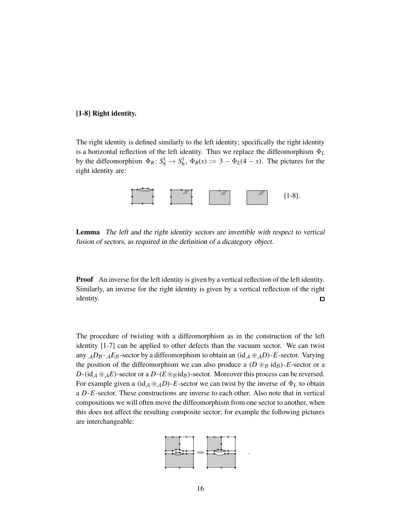#### [1-8] Right identity.

The right identity is defined similarly to the left identity; specifically the right identity is a horizontal reflection of the left identity. Thus we replace the diffeomorphism Φ*<sup>L</sup>* by the diffeomorphism  $\Phi_R: S_8^1 \to S_6^1$ ,  $\Phi_R(x) := 3 - \Phi_L(4 - x)$ . The pictures for the right identity are:



Lemma The left and the right identity sectors are invertible with respect to vertical fusion of sectors, as required in the definition of <sup>a</sup> dicategory object.

**Proof** An inverse for the left identity is given by a vertical reflection of the left identity. Similarly, an inverse for the right identity is given by a vertical reflection of the right identity.  $\Box$ 

The procedure of twisting with a diffeomorphism as in the construction of the left identity [1-7] can be applied to other defects than the vacuum sector. We can twist any  $AD_{\mathcal{B}}$ - $AE_{\mathcal{B}}$ -sector by a diffeomorphism to obtain an  $(id_{\mathcal{A}} \otimes_{\mathcal{A}} D)$ -*E*-sector. Varying the position of the diffeomorphism we can also produce a  $(D \otimes_B id_B)$ -*E*-sector or a  $D$ -(id<sub>A</sub> ⊛<sub>A</sub>E)-sector or a  $D$ -( $E$ ⊛ $B$  id $B$ )-sector. Moreover this process can be reversed. For example given a (id<sub>A</sub> ⊛<sub>A</sub>D)-E-sector we can twist by the inverse of  $\Phi_L$  to obtain a *D*-*E*-sector. These constructions are inverse to each other. Also note that in vertical compositions we will often move the diffeomorphism from one sector to another, when this does not affect the resulting composite sector; for example the following pictures are interchangeable:



.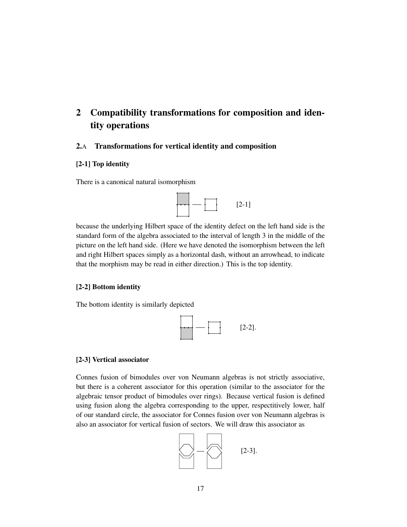# <span id="page-16-0"></span>2 Compatibility transformations for composition and identity operations

## 2.A Transformations for vertical identity and composition

## [2-1] Top identity

There is a canonical natural isomorphism



because the underlying Hilbert space of the identity defect on the left hand side is the standard form of the algebra associated to the interval of length 3 in the middle of the picture on the left hand side. (Here we have denoted the isomorphism between the left and right Hilbert spaces simply as a horizontal dash, without an arrowhead, to indicate that the morphism may be read in either direction.) This is the top identity.

## [2-2] Bottom identity

The bottom identity is similarly depicted



#### [2-3] Vertical associator

Connes fusion of bimodules over von Neumann algebras is not strictly associative, but there is a coherent associator for this operation (similar to the associator for the algebraic tensor product of bimodules over rings). Because vertical fusion is defined using fusion along the algebra corresponding to the upper, respectitively lower, half of our standard circle, the associator for Connes fusion over von Neumann algebras is also an associator for vertical fusion of sectors. We will draw this associator as

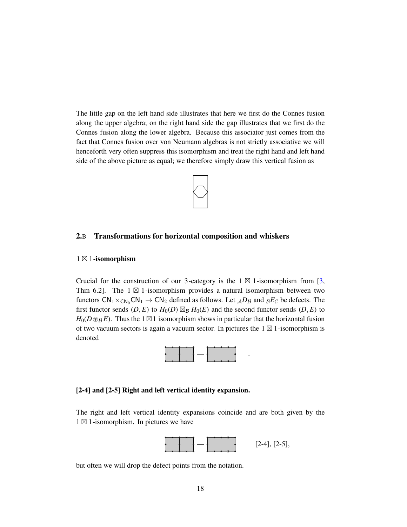The little gap on the left hand side illustrates that here we first do the Connes fusion along the upper algebra; on the right hand side the gap illustrates that we first do the Connes fusion along the lower algebra. Because this associator just comes from the fact that Connes fusion over von Neumann algebras is not strictly associative we will henceforth very often suppress this isomorphism and treat the right hand and left hand side of the above picture as equal; we therefore simply draw this vertical fusion as



#### 2.B Transformations for horizontal composition and whiskers

#### 1 ⊠ 1-isomorphism

Crucial for the construction of our 3-category is the  $1 \boxtimes 1$ -isomorphism from [3, Thm 6.2]. The  $1 \boxtimes 1$ -isomorphism provides a natural isomorphism between two functors  $CN_1 \times_{CN_0} CN_1 \rightarrow CN_2$  defined as follows. Let  $_{\mathcal{A}}D_{\mathcal{B}}$  and  $_{\mathcal{B}}E_{\mathcal{C}}$  be defects. The first functor sends  $(D, E)$  to  $H_0(D) \boxtimes_B H_0(E)$  and the second functor sends  $(D, E)$  to  $H_0(D \otimes_{\mathcal{B}} E)$ . Thus the 1⊠1 isomorphism shows in particular that the horizontal fusion of two vacuum sectors is again a vacuum sector. In pictures the  $1 \boxtimes 1$ -isomorphism is denoted



#### [2-4] and [2-5] Right and left vertical identity expansion.

The right and left vertical identity expansions coincide and are both given by the 1 ⊠ 1-isomorphism. In pictures we have



.

but often we will drop the defect points from the notation.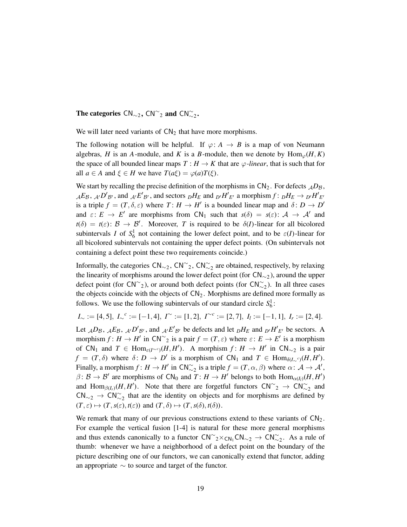The categories  $\text{CN}_{\sim 2}$ ,  $\text{CN}_{\sim 2}^{\sim}$  and  $\text{CN}_{\sim 2}^{\sim}$ .

We will later need variants of  $CN<sub>2</sub>$  that have more morphisms.

The following notation will be helpful. If  $\varphi: A \to B$  is a map of von Neumann algebras, *H* is an *A*-module, and *K* is a *B*-module, then we denote by  $\text{Hom}_{\varphi}(H, K)$ the space of all bounded linear maps  $T : H \to K$  that are  $\varphi$ *-linear*, that is such that for all  $a \in A$  and  $\xi \in H$  we have  $T(a\xi) = \varphi(a)T(\xi)$ .

We start by recalling the precise definition of the morphisms in  $CN_2$ . For defects  $AD_B$ ,  $_{\mathcal{A}}E_{\mathcal{B}}, \mathcal{A} \cdot D'_{\mathcal{B}'},$  and  $_{\mathcal{A}'}E'_{\mathcal{B}'},$  and sectors  $_{D}H_E$  and  $_{D'}H'_{E'}$  a morphism  $f: {}_DH_E \to {}_{D'}H'_{E'}$ is a triple  $f = (T, \delta, \varepsilon)$  where  $T: H \to H'$  is a bounded linear map and  $\delta: D \to D'$ and  $\varepsilon: E \to E'$  are morphisms from  $CN_1$  such that  $s(\delta) = s(\varepsilon): A \to A'$  and  $t(\delta) = t(\varepsilon)$ :  $\beta \to \beta'$ . Moreover, *T* is required to be  $\delta(I)$ -linear for all bicolored subintervals *I* of  $S_6^1$  not containing the lower defect point, and to be  $\varepsilon(I)$ -linear for all bicolored subintervals not containing the upper defect points. (On subintervals not containing a defect point these two requirements coincide.)

Informally, the categories  $\mathsf{CN}_{\sim 2}$ ,  $\mathsf{CN}_{\sim 2}^{\sim}$ ,  $\mathsf{CN}_{\sim 2}^{\sim}$  are obtained, respectively, by relaxing the linearity of morphisms around the lower defect point (for  $CN_{\sim 2}$ ), around the upper defect point (for  $\text{CN}^{\sim}_{2}$ ), or around both defect points (for  $\text{CN}^{\sim}_{2}$ ). In all three cases the objects coincide with the objects of  $CN<sub>2</sub>$ . Morphisms are defined more formally as follows. We use the following subintervals of our standard circle  $S_6^1$ :

 $I_{\sim} := [4, 5], I_{\sim}{}^{c} := [-1, 4], I^{\sim} := [1, 2], I^{\sim}{}^{c} := [2, 7], I_{l} := [-1, 1], I_{r} := [2, 4].$ 

Let  $_{\mathcal{A}}D_{\mathcal{B}}, \ _{\mathcal{A}}E_{\mathcal{B}}, \ _{\mathcal{A}'}D'_{\mathcal{B}'},$  and  $_{\mathcal{A}'}E'_{\mathcal{B}'}$  be defects and let  $_{D}H_E$  and  $_{D'}H'_{E'}$  be sectors. A morphism  $f: H \to H'$  in  $\mathsf{CN}^\sim_2$  is a pair  $f = (T, \varepsilon)$  where  $\varepsilon: E \to E'$  is a morphism of  $CN_1$  and  $T \in Hom_{\varepsilon(I^{\sim c})}(H, H')$ . A morphism  $f: H \to H'$  in  $CN_{\sim 2}$  is a pair  $f = (T, \delta)$  where  $\delta: D \to D'$  is a morphism of  $CN_1$  and  $T \in Hom_{\delta(I_{\infty}c)}(H, H')$ . Finally, a morphism  $f: H \to H'$  in  $CN_{\sim 2}^{\sim}$  is a triple  $f = (T, \alpha, \beta)$  where  $\alpha: A \to A'$ ,  $\beta: \mathcal{B} \to \mathcal{B}'$  are morphisms of  $CN_0$  and  $T: H \to H'$  belongs to both  $Hom_{\alpha(I_1)}(H, H')$ and  $\text{Hom}_{\beta(I_r)}(H, H')$ . Note that there are forgetful functors  $\text{CN}^{\sim}_{2} \to \text{CN}^{\sim}_{22}$  and  $CN_{\sim 2} \rightarrow CN_{\sim 2}^{\sim}$  that are the identity on objects and for morphisms are defined by  $(T, \varepsilon) \mapsto (T, s(\varepsilon), t(\varepsilon))$  and  $(T, \delta) \mapsto (T, s(\delta), t(\delta)).$ 

We remark that many of our previous constructions extend to these variants of  $CN<sub>2</sub>$ . For example the vertical fusion [1-4] is natural for these more general morphisms and thus extends canonically to a functor  $CN^{\sim}2\times CN_1CN_{\sim}2 \rightarrow CN_{\sim}^{\sim}2$ . As a rule of thumb: whenever we have a neighborhood of a defect point on the boundary of the picture describing one of our functors, we can canonically extend that functor, adding an appropriate  $\sim$  to source and target of the functor.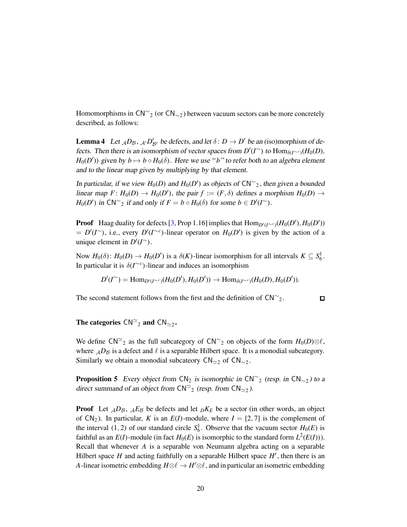Homomorphisms in  $\text{CN}^{\sim}_{2}$  (or  $\text{CN}_{\sim 2}$ ) between vacuum sectors can be more concretely described, as follows:

<span id="page-19-0"></span>**Lemma 4** Let  $_{\mathcal{A}}D_{\mathcal{B}}, \mathcal{A} \times D'_{\mathcal{B}'}$  be defects, and let  $\delta: D \to D'$  be an (iso)morphism of defects. Then there is an isomorphism of vector spaces from  $D'(I^{\sim})$  to  $\text{Hom}_{\delta(I^{\sim c})}(H_0(D),$  $H_0(D')$ ) given by  $b \mapsto b \circ H_0(\delta)$ . Here we use "*b*" to refer both to an algebra element and to the linear map given by multiplying by that element.

In particular, if we view  $H_0(D)$  and  $H_0(D')$  as objects of  $CN^\sim_2$ , then given a bounded linear map  $F: H_0(D) \to H_0(D')$ , the pair  $f := (F, \delta)$  defines a morphism  $H_0(D) \to$ *H*<sub>0</sub>(*D*<sup>'</sup>) in CN<sup>∼</sup><sub>2</sub> if and only if  $F = b \circ H_0(\delta)$  for some  $b \in D'(I^{\sim})$ .

**Proof** Haag duality for defects [3, Prop 1.16] implies that  $\text{Hom}_{D'(I^{\sim c})}(H_0(D'), H_0(D'))$  $= D'(I^{\sim})$ , i.e., every  $D'(I^{\sim c})$ -linear operator on  $H_0(D')$  is given by the action of a unique element in  $D'(I^{\sim})$ .

Now  $H_0(\delta)$ :  $H_0(D) \to H_0(D')$  is a  $\delta(K)$ -linear isomorphism for all intervals  $K \subseteq S_6^1$ . In particular it is  $\delta(I^{\sim c})$ -linear and induces an isomorphism

$$
D'(I^{\sim}) = \text{Hom}_{D'(I^{\sim c})}(H_0(D'), H_0(D')) \to \text{Hom}_{\delta(I^{\sim c})}(H_0(D), H_0(D')).
$$

The second statement follows from the first and the definition of  $\text{CN}^{\sim}$ <sub>2</sub>.

 $\Box$ 

## The categories  $\mathsf{CN}^{\simeq}_2$  and  $\mathsf{CN}_{\simeq 2}$ .

We define  $CN^{\sim}$ <sub>2</sub> as the full subcategory of  $CN^{\sim}$ <sub>2</sub> on objects of the form  $H_0(D) \otimes \ell$ , where  $<sub>A</sub>D<sub>B</sub>$  is a defect and  $\ell$  is a separable Hilbert space. It is a monodial subcategory.</sub> Similarly we obtain a monodial subcateory  $\mathsf{CN}_{\simeq 2}$  of  $\mathsf{CN}_{\simeq 2}$ .

<span id="page-19-1"></span>**Proposition 5** Every object from  $CN_2$  is isomorphic in  $CN_{2}^{\sim}$  (resp. in  $CN_{\sim}^2$ ) to a direct summand of an object from  $\mathsf{CN}^{\simeq}_{2}$  (resp. from  $\mathsf{CN}_{\simeq 2}$ ).

**Proof** Let  $_{\mathcal{A}}D_{\mathcal{B}}$ ,  $_{\mathcal{A}}E_{\mathcal{B}}$  be defects and let  $_{\mathcal{D}}K_{\mathcal{E}}$  be a sector (in other words, an object of  $CN_2$ ). In particular, *K* is an *E*(*I*)-module, where  $I = [2, 7]$  is the complement of the interval  $(1, 2)$  of our standard circle  $S_6^1$ . Observe that the vacuum sector  $H_0(E)$  is faithful as an  $E(I)$ -module (in fact  $H_0(E)$  is isomorphic to the standard form  $L^2(E(I))$ ). Recall that whenever *A* is a separable von Neumann algebra acting on a separable Hilbert space H and acting faithfully on a separable Hilbert space H', then there is an *A*-linear isometric embedding  $H \otimes \ell \rightarrow H' \otimes \ell$ , and in particular an isometric embedding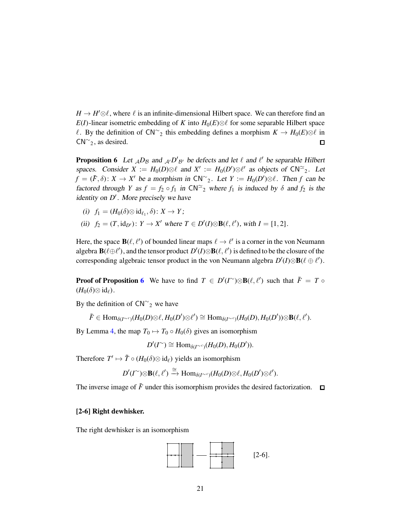$H \to H' \otimes \ell$ , where  $\ell$  is an infinite-dimensional Hilbert space. We can therefore find an *E*(*I*)-linear isometric embedding of *K* into  $H_0(E) \otimes \ell$  for some separable Hilbert space *ℓ*. By the definition of  $CN^{\sim}$ <sub>2</sub> this embedding defines a morphism  $K \to H_0(E) \otimes \ell$  in  $CN^{\sim}$ <sub>2</sub>, as desired.  $\Box$ 

<span id="page-20-0"></span>**Proposition 6** Let  $_{\mathcal{A}}D_{\mathcal{B}}$  and  $_{\mathcal{A}'}D'_{\mathcal{B}'}$  be defects and let  $\ell$  and  $\ell'$  be separable Hilbert spaces. Consider  $X := H_0(D) \otimes \ell$  and  $X' := H_0(D') \otimes \ell'$  as objects of  $CN^{\simeq}$ . Let  $f = (\tilde{F}, \delta)$ :  $X \to X'$  be a morphism in  $CN^{\sim}$ , Let  $Y := H_0(D') \otimes \ell$ . Then *f* can be factored through *Y* as  $f = f_2 \circ f_1$  in  $CN^{\sim 2}$  where  $f_1$  is induced by  $\delta$  and  $f_2$  is the identity on D<sup>'</sup>. More precisely we have

- (i)  $f_1 = (H_0(\delta) \otimes id_{\ell_1}, \delta) : X \to Y;$
- (ii)  $f_2 = (T, id_{D'})$ :  $Y \to X'$  where  $T \in D'(I) \otimes B(\ell, \ell')$ , with  $I = [1, 2]$ .

Here, the space  $\mathbf{B}(\ell, \ell')$  of bounded linear maps  $\ell \to \ell'$  is a corner in the von Neumann algebra  $\mathbf{B}(\ell \oplus \ell')$ , and the tensor product  $D'(I) \otimes \mathbf{B}(\ell, \ell')$  is defined to be the closure of the corresponding algebraic tensor product in the von Neumann algebra  $D'(I) \otimes B(\ell \oplus \ell')$ .

**Proof of Proposition [6](#page-20-0)** We have to find  $T \in D'(I^{\sim})\otimes B(\ell,\ell')$  such that  $\tilde{F} = T \circ$  $(H_0(\delta) \otimes id_\ell).$ 

By the definition of  $CN^{\sim}$ <sub>2</sub> we have

 $\tilde{F} \in \text{Hom}_{\delta(I^{\sim c})}(H_0(D) \otimes \ell, H_0(D') \otimes \ell') \cong \text{Hom}_{\delta(I^{\sim c})}(H_0(D), H_0(D')) \otimes \textbf{B}(\ell, \ell').$ 

By Lemma [4,](#page-19-0) the map  $T_0 \mapsto T_0 \circ H_0(\delta)$  gives an isomorphism

$$
D'(I^{\sim}) \cong \text{Hom}_{\delta(I^{\sim c})}(H_0(D), H_0(D')).
$$

Therefore  $T' \mapsto \tilde{T} \circ (H_0(\delta) \otimes id_\ell)$  yields an isomorphism

$$
D'(I^{\sim})\otimes \mathbf{B}(\ell,\ell') \xrightarrow{\cong} \text{Hom}_{\delta(I^{\sim c})}(H_0(D)\otimes \ell,H_0(D')\otimes \ell').
$$

The inverse image of  $\tilde{F}$  under this isomorphism provides the desired factorization.  $\Box$ 

#### [2-6] Right dewhisker.

The right dewhisker is an isomorphism

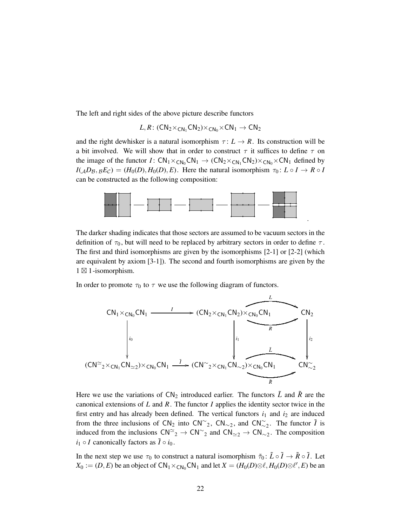The left and right sides of the above picture describe functors

$$
L,R\colon (\mathsf{CN}_2{\times}_{\mathsf{CN}_1}\mathsf{CN}_2){\times}_{\mathsf{CN}_0}{\times}\mathsf{CN}_1\to \mathsf{CN}_2
$$

and the right dewhisker is a natural isomorphism  $\tau: L \to R$ . Its construction will be a bit involved. We will show that in order to construct  $\tau$  it suffices to define  $\tau$  on the image of the functor *I*:  $CN_1 \times_{CN_0} CN_1 \rightarrow (CN_2 \times_{CN_1} CN_2) \times_{CN_0} \times CN_1$  defined by  $I(A \cup B \cap B, E \cap C) = (H_0(D), H_0(D), E)$ . Here the natural isomorphism  $\tau_0: L \circ I \to R \circ I$ can be constructed as the following composition:



.

The darker shading indicates that those sectors are assumed to be vacuum sectors in the definition of  $\tau_0$ , but will need to be replaced by arbitrary sectors in order to define  $\tau$ . The first and third isomorphisms are given by the isomorphisms [2-1] or [2-2] (which are equivalent by axiom [3-1]). The second and fourth isomorphisms are given by the 1 ⊠ 1-isomorphism.

In order to promote  $\tau_0$  to  $\tau$  we use the following diagram of functors.



Here we use the variations of  $CN_2$  introduced earlier. The functors  $\tilde{L}$  and  $\tilde{R}$  are the canonical extensions of *L* and *R*. The functor *I* applies the identity sector twice in the first entry and has already been defined. The vertical functors  $i_1$  and  $i_2$  are induced from the three inclusions of  $CN_2$  into  $CN_{2}^2$ ,  $CN_{\sim 2}$ , and  $CN_{2}^2$ . The functor  $\tilde{I}$  is induced from the inclusions  $\text{CN}^{\simeq}{}_{2} \to \text{CN}^{\simeq}{}_{2}$  and  $\text{CN}_{\simeq}{}_{2} \to \text{CN}_{\simeq}{}_{2}$ . The composition  $i_1 \circ I$  canonically factors as  $\tilde{I} \circ i_0$ .

In the next step we use  $\tau_0$  to construct a natural isomorphism  $\tilde{\tau}_0$ :  $\tilde{L} \circ \tilde{I} \to \tilde{R} \circ \tilde{I}$ . Let  $X_0 := (D, E)$  be an object of  $CN_1 \times_{CN_0} CN_1$  and let  $X = (H_0(D) \otimes \ell, H_0(D) \otimes \ell', E)$  be an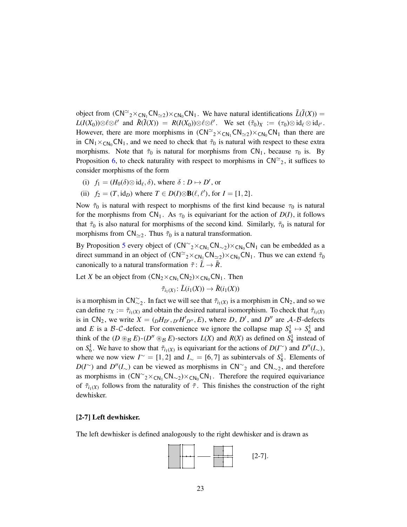object from  $(CN^{\simeq}{}_{2} \times_{CN_1}CN_{\simeq 2}) \times_{CN_0}CN_1$ . We have natural identifications  $\tilde{L}(\tilde{I}(X))$  =  $L(I(X_0))\otimes \ell \otimes \ell'$  and  $\tilde{R}(\tilde{I}(X)) = R(I(X_0))\otimes \ell \otimes \ell'.$  We set  $(\tilde{\tau}_0)_X := (\tau_0)\otimes id_{\ell} \otimes id_{\ell'}.$ However, there are more morphisms in  $(CN^{\approx}{}_{2} \times_{CN_1} CN_{\approx 2}) \times_{CN_0} CN_1$  than there are in  $CN_1 \times_{CN_0} CN_1$ , and we need to check that  $\tilde{\tau}_0$  is natural with respect to these extra morphisms. Note that  $\tilde{\tau}_0$  is natural for morphisms from CN<sub>1</sub>, because  $\tau_0$  is. By Proposition [6,](#page-20-0) to check naturality with respect to morphisms in  $CN^{\sim 2}$ , it suffices to consider morphisms of the form

- (i)  $f_1 = (H_0(\delta) \otimes id_\ell, \delta)$ , where  $\delta : D \mapsto D'$ , or
- (ii)  $f_2 = (T, id_D)$  where  $T \in D(I) \otimes B(\ell, \ell')$ , for  $I = [1, 2]$ .

Now  $\tilde{\tau}_0$  is natural with respect to morphisms of the first kind because  $\tau_0$  is natural for the morphisms from  $CN_1$ . As  $\tau_0$  is equivariant for the action of  $D(I)$ , it follows that  $\tilde{\tau}_0$  is also natural for morphisms of the second kind. Similarly,  $\tilde{\tau}_0$  is natural for morphisms from  $CN_{\simeq 2}$ . Thus  $\tilde{\tau}_0$  is a natural transformation.

By Proposition [5](#page-19-1) every object of  $(CN^{\sim}{}_{2} \times_{CN_1}CN_{\sim}{}_{2}) \times_{CN_0}CN_1$  can be embedded as a direct summand in an object of  $(CN^{\simeq}{}_{2} \times_{CN_1}CN_{\simeq 2}) \times_{CN_0}CN_1$ . Thus we can extend  $\tilde{\tau}_0$ canonically to a natural transformation  $\tilde{\tau}$ :  $\tilde{L} \rightarrow \tilde{R}$ .

Let *X* be an object from  $(CN_2 \times_{CN_1} CN_2) \times_{CN_0} CN_1$ . Then

$$
\tilde{\tau}_{i_1(X)}\colon \tilde{L}(i_1(X))\to \tilde{R}(i_1(X))
$$

is a morphism in  $CN_{\sim 2}^{\sim}$ . In fact we will see that  $\tilde{\tau}_{i_1(X)}$  is a morphism in  $CN_2$ , and so we can define  $\tau_X := \tilde{\tau}_{i_1(X)}$  and obtain the desired natural isomorphism. To check that  $\tilde{\tau}_{i_1(X)}$ is in CN<sub>2</sub>, we write  $X = (pH_{D'}, p'H'_{D''}, E)$ , where *D*, *D'*, and *D''* are *A*-*B*-defects and *E* is a *B*-*C*-defect. For convenience we ignore the collapse map  $S_8^1 \rightarrow S_6^1$  and think of the  $(D \otimes_B E)$ - $(D'' \otimes_B E)$ -sectors  $L(X)$  and  $R(X)$  as defined on  $S^1_8$  instead of on *S*<sup>1</sup><sub>6</sub>. We have to show that  $\tilde{\tau}_{i_1(X)}$  is equivariant for the actions of *D*(*I*<sup>∼</sup>) and *D*<sup>''</sup>(*I*∼), where we now view  $I^{\sim} = [1, 2]$  and  $I_{\sim} = [6, 7]$  as subintervals of  $S_8^1$ . Elements of  $D(I^{\sim})$  and  $D''(I_{\sim})$  can be viewed as morphisms in  $CN^{\sim}$ <sub>2</sub> and  $CN_{\sim}$ <sub>2</sub>, and therefore as morphisms in  $(CN^{\sim}{}_{2} \times_{CN_1} CN_{\sim 2}) \times_{CN_0} CN_1$ . Therefore the required equivariance of  $\tilde{\tau}_{i_1(X)}$  follows from the naturality of  $\tilde{\tau}$ . This finishes the construction of the right dewhisker.

#### [2-7] Left dewhisker.

The left dewhisker is defined analogously to the right dewhisker and is drawn as

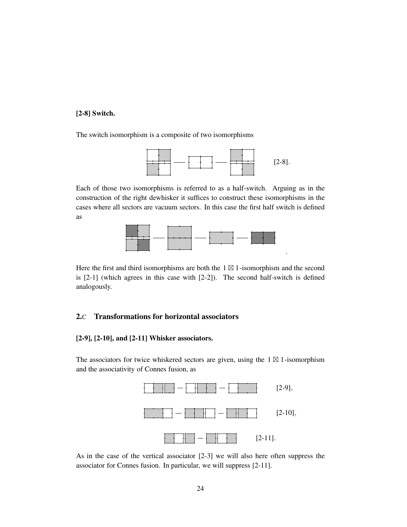## [2-8] Switch.

The switch isomorphism is a composite of two isomorphisms



.

Each of those two isomorphisms is referred to as a half-switch. Arguing as in the construction of the right dewhisker it suffices to construct these isomorphisms in the cases where all sectors are vacuum sectors. In this case the first half switch is defined as



Here the first and third isomorphisms are both the  $1 \boxtimes 1$ -isomorphism and the second is [2-1] (which agrees in this case with [2-2]). The second half-switch is defined analogously.

## 2.C Transformations for horizontal associators

### [2-9], [2-10], and [2-11] Whisker associators.

The associators for twice whiskered sectors are given, using the  $1 \boxtimes 1$ -isomorphism and the associativity of Connes fusion, as



As in the case of the vertical associator [2-3] we will also here often suppress the associator for Connes fusion. In particular, we will suppress [2-11].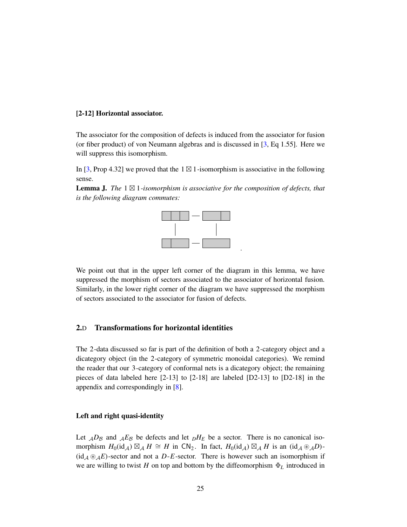#### [2-12] Horizontal associator.

The associator for the composition of defects is induced from the associator for fusion (or fiber product) of von Neumann algebras and is discussed in [3, Eq 1.55]. Here we will suppress this isomorphism.

In [3, Prop 4.32] we proved that the 1  $\boxtimes$  1-isomorphism is associative in the following sense.





We point out that in the upper left corner of the diagram in this lemma, we have suppressed the morphism of sectors associated to the associator of horizontal fusion. Similarly, in the lower right corner of the diagram we have suppressed the morphism of sectors associated to the associator for fusion of defects.

## 2.D Transformations for horizontal identities

The 2-data discussed so far is part of the definition of both a 2-category object and a dicategory object (in the 2-category of symmetric monoidal categories). We remind the reader that our 3-category of conformal nets is a dicategory object; the remaining pieces of data labeled here [2-13] to [2-18] are labeled [D2-13] to [D2-18] in the appendix and correspondingly in [8].

#### Left and right quasi-identity

Let  $_{\mathcal{A}}D_{\mathcal{B}}$  and  $_{\mathcal{A}}E_{\mathcal{B}}$  be defects and let  $_{D}H_{E}$  be a sector. There is no canonical isomorphism  $H_0(\mathrm{id}_\mathcal{A}) \boxtimes_\mathcal{A} H \cong H$  in  $CN_2$ . In fact,  $H_0(\mathrm{id}_\mathcal{A}) \boxtimes_\mathcal{A} H$  is an  $(\mathrm{id}_\mathcal{A} \otimes_\mathcal{A} D)$ - $(id_A \otimes_A E)$ -sector and not a *D*-*E*-sector. There is however such an isomorphism if we are willing to twist *H* on top and bottom by the diffeomorphism  $\Phi_L$  introduced in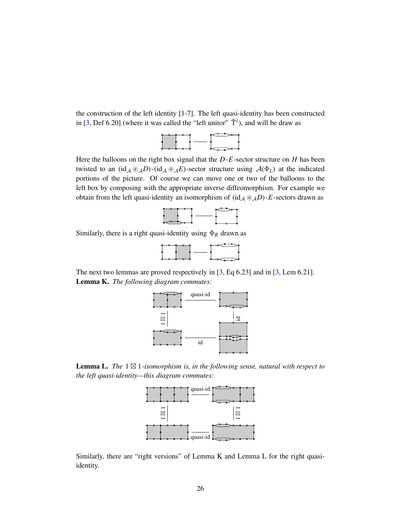the construction of the left identity [1-7]. The left quasi-identity has been constructed in [3, Def 6.20] (where it was called the "left unitor"  $\hat{\Upsilon}^l$ ), and will be draw as



Here the balloons on the right box signal that the *D*-*E*-sector structure on *H* has been twisted to an  $(id_A \otimes_A D)$ - $(id_A \otimes_A E)$ -sector structure using  $A(\Phi_L)$  at the indicated portions of the picture. Of course we can move one or two of the balloons to the left box by composing with the appropriate inverse diffeomorphism. For example we obtain from the left quasi-identity an isomorphism of  $(id_A \otimes_A D)$ -*E*-sectors drawn as



Similarly, there is a right quasi-identity using  $\Phi_R$  drawn as



The next two lemmas are proved respectively in [3, Eq 6.23] and in [3, Lem 6.21]. Lemma K. *The following diagram commutes:*



Lemma L. *The* 1 ⊠ 1*-isomorphism is, in the following sense, natural with respect to the left quasi-identity—this diagram commutes:*



Similarly, there are "right versions" of Lemma K and Lemma L for the right quasiidentity.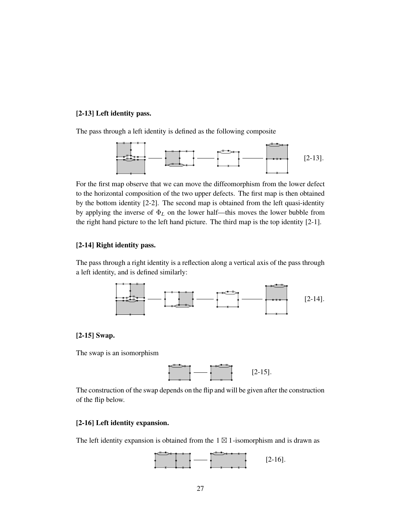## [2-13] Left identity pass.

The pass through a left identity is defined as the following composite



For the first map observe that we can move the diffeomorphism from the lower defect to the horizontal composition of the two upper defects. The first map is then obtained by the bottom identity [2-2]. The second map is obtained from the left quasi-identity by applying the inverse of  $\Phi_L$  on the lower half—this moves the lower bubble from the right hand picture to the left hand picture. The third map is the top identity [2-1].

## [2-14] Right identity pass.

The pass through a right identity is a reflection along a vertical axis of the pass through a left identity, and is defined similarly:



#### [2-15] Swap.

The swap is an isomorphism



The construction of the swap depends on the flip and will be given after the construction of the flip below.

## [2-16] Left identity expansion.

The left identity expansion is obtained from the  $1 \boxtimes 1$ -isomorphism and is drawn as

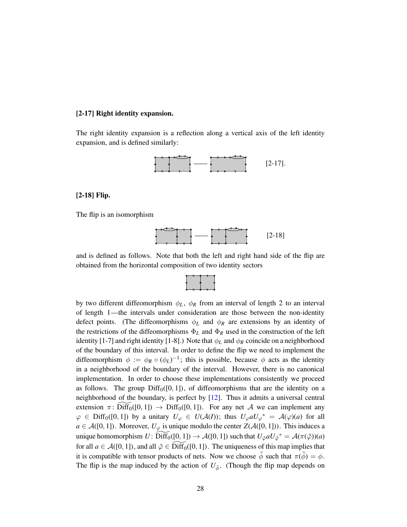#### [2-17] Right identity expansion.

The right identity expansion is a reflection along a vertical axis of the left identity expansion, and is defined similarly:



#### [2-18] Flip.

The flip is an isomorphism



and is defined as follows. Note that both the left and right hand side of the flip are obtained from the horizontal composition of two identity sectors

by two different diffeomorphism  $\phi_L$ ,  $\phi_R$  from an interval of length 2 to an interval of length 1—the intervals under consideration are those between the non-identity defect points. (The diffeomorphisms  $\phi_L$  and  $\phi_R$  are extensions by an identity of the restrictions of the diffeomorphisms  $\Phi_L$  and  $\Phi_R$  used in the construction of the left identity [1-7] and right identity [1-8].) Note that  $\phi_L$  and  $\phi_R$  coincide on a neighborhood of the boundary of this interval. In order to define the flip we need to implement the diffeomorphism  $\phi := \phi_R \circ (\phi_L)^{-1}$ ; this is possible, because  $\phi$  acts as the identity in a neighborhood of the boundary of the interval. However, there is no canonical implementation. In order to choose these implementations consistently we proceed as follows. The group  $\text{Diff}_0([0, 1])$ , of diffeomorphisms that are the identity on a neighborhood of the boundary, is perfect by [12]. Thus it admits a universal central extension  $\pi$ : Diff<sub>0</sub>([0, 1])  $\rightarrow$  Diff<sub>0</sub>([0, 1]). For any net A we can implement any  $\varphi \in \text{Diff}_0([0,1])$  by a unitary  $U_{\varphi} \in U(\mathcal{A}(I))$ ; thus  $U_{\varphi} a U_{\varphi}^* = \mathcal{A}(\varphi)(a)$  for all  $a \in \mathcal{A}([0,1])$ . Moreover,  $U_{\varphi}$  is unique modulo the center  $Z(\mathcal{A}([0,1]))$ . This induces a unique homomorphism  $U: \widetilde{\text{Diff}}_0([0,1]) \to \mathcal{A}([0,1])$  such that  $U_{\tilde{\varphi}} a U_{\tilde{\varphi}}^* = \mathcal{A}(\pi(\tilde{\varphi})) (a)$ for all  $a \in \mathcal{A}([0,1])$ , and all  $\tilde{\varphi} \in \tilde{\text{Diff}}_0([0,1])$ . The uniqueness of this map implies that it is compatible with tensor products of nets. Now we choose  $\tilde{\phi}$  such that  $\pi(\tilde{\phi}) = \phi$ . The flip is the map induced by the action of  $U_{\tilde{\phi}}$ . (Though the flip map depends on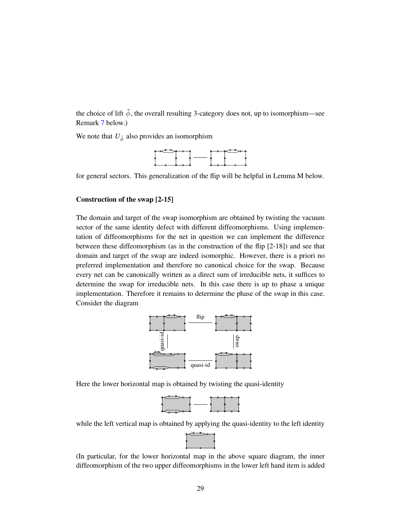the choice of lift  $\tilde{\phi}$ , the overall resulting 3-category does not, up to isomorphism—see Remark [7](#page-29-0) below.)

We note that  $U_{\tilde{\phi}}$  also provides an isomorphism



for general sectors. This generalization of the flip will be helpful in Lemma M below.

#### Construction of the swap [2-15]

The domain and target of the swap isomorphism are obtained by twisting the vacuum sector of the same identity defect with different diffeomorphisms. Using implementation of diffeomorphisms for the net in question we can implement the difference between these diffeomorphism (as in the construction of the flip [2-18]) and see that domain and target of the swap are indeed isomorphic. However, there is a priori no preferred implementation and therefore no canonical choice for the swap. Because every net can be canonically written as a direct sum of irreducible nets, it suffices to determine the swap for irreducible nets. In this case there is up to phase a unique implementation. Therefore it remains to determine the phase of the swap in this case. Consider the diagram



Here the lower horizontal map is obtained by twisting the quasi-identity



while the left vertical map is obtained by applying the quasi-identity to the left identity

(In particular, for the lower horizontal map in the above square diagram, the inner diffeomorphism of the two upper diffeomorphisms in the lower left hand item is added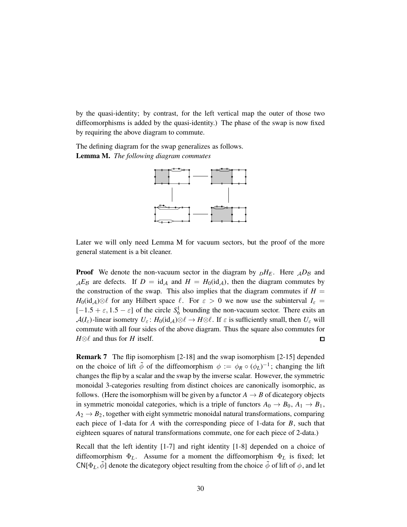by the quasi-identity; by contrast, for the left vertical map the outer of those two diffeomorphisms is added by the quasi-identity.) The phase of the swap is now fixed by requiring the above diagram to commute.

The defining diagram for the swap generalizes as follows. Lemma M. *The following diagram commutes*



Later we will only need Lemma M for vacuum sectors, but the proof of the more general statement is a bit cleaner.

**Proof** We denote the non-vacuum sector in the diagram by  $pH_E$ . Here  $\mathcal{A}D_B$  and  $_{\mathcal{A}}E_{\mathcal{B}}$  are defects. If  $D = id_{\mathcal{A}}$  and  $H = H_0(id_{\mathcal{A}})$ , then the diagram commutes by the construction of the swap. This also implies that the diagram commutes if  $H =$  $H_0(\mathrm{id}_A) \otimes \ell$  for any Hilbert space  $\ell$ . For  $\varepsilon > 0$  we now use the subinterval  $I_{\varepsilon} =$  $[-1.5 + \varepsilon, 1.5 - \varepsilon]$  of the circle  $S_6^1$  bounding the non-vacuum sector. There exits an  $\mathcal{A}(I_{\varepsilon})$ -linear isometry  $U_{\varepsilon}$ :  $H_0(\mathrm{id}_{\mathcal{A}}) \otimes \ell \to H \otimes \ell$ . If  $\varepsilon$  is sufficiently small, then  $U_{\varepsilon}$  will commute with all four sides of the above diagram. Thus the square also commutes for  $H \otimes \ell$  and thus for *H* itself.  $\Box$ 

<span id="page-29-0"></span>Remark 7 The flip isomorphism [2-18] and the swap isomorphism [2-15] depended on the choice of lift  $\tilde{\phi}$  of the diffeomorphism  $\phi := \phi_R \circ (\phi_L)^{-1}$ ; changing the lift changes the flip by a scalar and the swap by the inverse scalar. However, the symmetric monoidal 3-categories resulting from distinct choices are canonically isomorphic, as follows. (Here the isomorphism will be given by a functor  $A \rightarrow B$  of dicategory objects in symmetric monoidal categories, which is a triple of functors  $A_0 \rightarrow B_0$ ,  $A_1 \rightarrow B_1$ ,  $A_2 \rightarrow B_2$ , together with eight symmetric monoidal natural transformations, comparing each piece of 1-data for *A* with the corresponding piece of 1-data for *B*, such that eighteen squares of natural transformations commute, one for each piece of 2-data.)

Recall that the left identity [1-7] and right identity [1-8] depended on a choice of diffeomorphism  $\Phi_L$ . Assume for a moment the diffeomorphism  $\Phi_L$  is fixed; let CN[ $\Phi_L$ ,  $\tilde{\phi}$ ] denote the dicategory object resulting from the choice  $\tilde{\phi}$  of lift of  $\phi$ , and let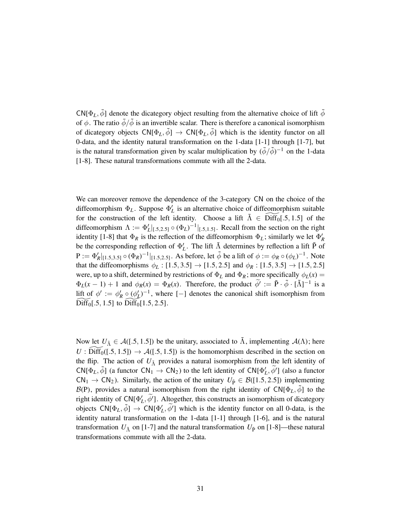$CN[\Phi_L, \bar{\phi}]$  denote the dicategory object resulting from the alternative choice of lift  $\bar{\phi}$ of  $\phi$ . The ratio  $\bar{\phi}/\bar{\phi}$  is an invertible scalar. There is therefore a canonical isomorphism of dicategory objects  $\mathsf{CN}[\Phi_L, \tilde{\phi}] \to \mathsf{CN}[\Phi_L, \bar{\phi}]$  which is the identity functor on all 0-data, and the identity natural transformation on the 1-data [1-1] through [1-7], but is the natural transformation given by scalar multiplication by  $(\bar{\phi}/\tilde{\phi})^{-1}$  on the 1-data [1-8]. These natural transformations commute with all the 2-data.

We can moreover remove the dependence of the 3-category CN on the choice of the diffeomorphism  $\Phi_L$ . Suppose  $\Phi'_L$  is an alternative choice of diffeomorphism suitable for the construction of the left identity. Choose a lift  $\tilde{\Lambda} \in \text{Diff}_0[.5, 1.5]$  of the diffeomorphism  $\Lambda := \Phi_L' |_{[0.5, 2.5]} \circ (\Phi_L)^{-1} |_{[0.5, 1.5]}$ . Recall from the section on the right identity [1-8] that  $\Phi_R$  is the reflection of the diffeomorphism  $\Phi_L$ ; similarly we let  $\Phi'_R$ be the corresponding reflection of  $\Phi'_{L}$ . The lift  $\tilde{\Lambda}$  determines by reflection a lift  $\tilde{P}$  of  $P := \Phi'_{R}|_{[1.5,3.5]} \circ (\Phi_{R})^{-1}|_{[1.5,2.5]}$ . As before, let  $\tilde{\phi}$  be a lift of  $\phi := \phi_{R} \circ (\phi_{L})^{-1}$ . Note that the diffeomorphisms  $\phi_L : [1.5, 3.5] \to [1.5, 2.5]$  and  $\phi_R : [1.5, 3.5] \to [1.5, 2.5]$ were, up to a shift, determined by restrictions of  $\Phi_L$  and  $\Phi_R$ ; more specifically  $\phi_L(x) =$  $\Phi_L(x-1) + 1$  and  $\phi_R(x) = \Phi_R(x)$ . Therefore, the product  $\tilde{\phi}' := \tilde{P} \cdot \tilde{\phi} \cdot [\tilde{\Lambda}]^{-1}$  is a lift of  $\phi' := \phi'_R \circ (\phi'_L)^{-1}$ , where [-] denotes the canonical shift isomorphism from  $Diff<sub>0</sub>[.5, 1.5]$  to  $Diff<sub>0</sub>[1.5, 2.5]$ .

Now let  $U_{\tilde{\Lambda}} \in \mathcal{A}([.5, 1.5])$  be the unitary, associated to  $\tilde{\Lambda}$ , implementing  $\mathcal{A}(\Lambda)$ ; here  $U: \text{Diff}_0([0.5, 1.5]) \rightarrow \mathcal{A}([0.5, 1.5])$  is the homomorphism described in the section on the flip. The action of  $U_{\tilde{\Lambda}}$  provides a natural isomorphism from the left identity of CN[ $\Phi_L$ ,  $\tilde{\phi}$ ] (a functor CN<sub>1</sub>  $\rightarrow$  CN<sub>2</sub>) to the left identity of CN[ $\Phi'_L$ ,  $\tilde{\phi}'$ ] (also a functor  $CN_1 \rightarrow CN_2$ ). Similarly, the action of the unitary  $U_{\tilde{P}} \in \mathcal{B}([1.5, 2.5])$  implementing  $\mathcal{B}(P)$ , provides a natural isomorphism from the right identity of  $CN[\Phi_L, \phi]$  to the right identity of  $CN[\Phi_L', \widetilde{\phi}']$ . Altogether, this constructs an isomorphism of dicategory objects  $CN[\Phi_L, \tilde{\phi}] \rightarrow CN[\Phi'_L, \tilde{\phi'}]$  which is the identity functor on all 0-data, is the identity natural transformation on the 1-data [1-1] through [1-6], and is the natural transformation  $U_{\tilde{\Lambda}}$  on [1-7] and the natural transformation  $U_{\tilde{P}}$  on [1-8]—these natural transformations commute with all the 2-data.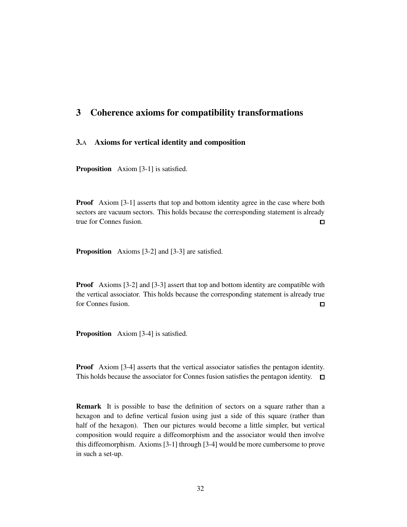## <span id="page-31-0"></span>3 Coherence axioms for compatibility transformations

## 3.A Axioms for vertical identity and composition

Proposition Axiom [3-1] is satisfied.

**Proof** Axiom [3-1] asserts that top and bottom identity agree in the case where both sectors are vacuum sectors. This holds because the corresponding statement is already true for Connes fusion.  $\blacksquare$ 

Proposition Axioms [3-2] and [3-3] are satisfied.

Proof Axioms [3-2] and [3-3] assert that top and bottom identity are compatible with the vertical associator. This holds because the corresponding statement is already true for Connes fusion.  $\Box$ 

Proposition Axiom [3-4] is satisfied.

**Proof** Axiom [3-4] asserts that the vertical associator satisfies the pentagon identity. This holds because the associator for Connes fusion satisfies the pentagon identity.  $\square$ 

Remark It is possible to base the definition of sectors on a square rather than a hexagon and to define vertical fusion using just a side of this square (rather than half of the hexagon). Then our pictures would become a little simpler, but vertical composition would require a diffeomorphism and the associator would then involve this diffeomorphism. Axioms [3-1] through [3-4] would be more cumbersome to prove in such a set-up.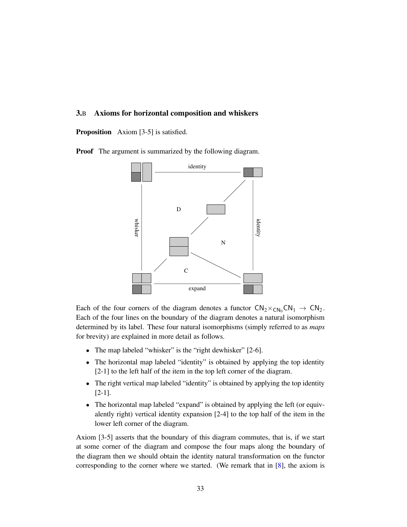## 3.B Axioms for horizontal composition and whiskers

Proposition Axiom [3-5] is satisfied.

**Proof** The argument is summarized by the following diagram.



Each of the four corners of the diagram denotes a functor  $CN_2 \times_{CN_0} CN_1 \rightarrow CN_2$ . Each of the four lines on the boundary of the diagram denotes a natural isomorphism determined by its label. These four natural isomorphisms (simply referred to as *maps* for brevity) are explained in more detail as follows.

- The map labeled "whisker" is the "right dewhisker" [2-6].
- The horizontal map labeled "identity" is obtained by applying the top identity [2-1] to the left half of the item in the top left corner of the diagram.
- The right vertical map labeled "identity" is obtained by applying the top identity [2-1].
- The horizontal map labeled "expand" is obtained by applying the left (or equivalently right) vertical identity expansion [2-4] to the top half of the item in the lower left corner of the diagram.

Axiom [3-5] asserts that the boundary of this diagram commutes, that is, if we start at some corner of the diagram and compose the four maps along the boundary of the diagram then we should obtain the identity natural transformation on the functor corresponding to the corner where we started. (We remark that in  $[8]$ , the axiom is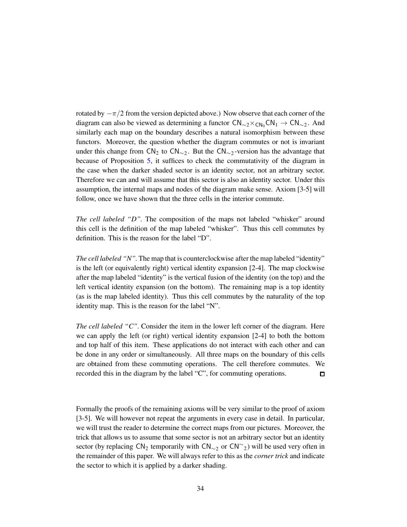rotated by  $-\pi/2$  from the version depicted above.) Now observe that each corner of the diagram can also be viewed as determining a functor  $CN_{\sim 2} \times_{CN_0} CN_1 \rightarrow CN_{\sim 2}$ . And similarly each map on the boundary describes a natural isomorphism between these functors. Moreover, the question whether the diagram commutes or not is invariant under this change from  $CN_2$  to  $CN_{\sim 2}$ . But the  $CN_{\sim 2}$ -version has the advantage that because of Proposition [5,](#page-19-1) it suffices to check the commutativity of the diagram in the case when the darker shaded sector is an identity sector, not an arbitrary sector. Therefore we can and will assume that this sector is also an identity sector. Under this assumption, the internal maps and nodes of the diagram make sense. Axiom [3-5] will follow, once we have shown that the three cells in the interior commute.

*The cell labeled "D".* The composition of the maps not labeled "whisker" around this cell is the definition of the map labeled "whisker". Thus this cell commutes by definition. This is the reason for the label "D".

*The cell labeled "N"*. The map that is counterclockwise after the map labeled "identity" is the left (or equivalently right) vertical identity expansion [2-4]. The map clockwise after the map labeled "identity" is the vertical fusion of the identity (on the top) and the left vertical identity expansion (on the bottom). The remaining map is a top identity (as is the map labeled identity). Thus this cell commutes by the naturality of the top identity map. This is the reason for the label "N".

*The cell labeled "C".* Consider the item in the lower left corner of the diagram. Here we can apply the left (or right) vertical identity expansion [2-4] to both the bottom and top half of this item. These applications do not interact with each other and can be done in any order or simultaneously. All three maps on the boundary of this cells are obtained from these commuting operations. The cell therefore commutes. We recorded this in the diagram by the label "C", for commuting operations.  $\Box$ 

Formally the proofs of the remaining axioms will be very similar to the proof of axiom [3-5]. We will however not repeat the arguments in every case in detail. In particular, we will trust the reader to determine the correct maps from our pictures. Moreover, the trick that allows us to assume that some sector is not an arbitrary sector but an identity sector (by replacing  $CN_2$  temporarily with  $CN_{\sim 2}$  or  $CN_{\sim 2}$ ) will be used very often in the remainder of this paper. We will always refer to this as the *corner trick* and indicate the sector to which it is applied by a darker shading.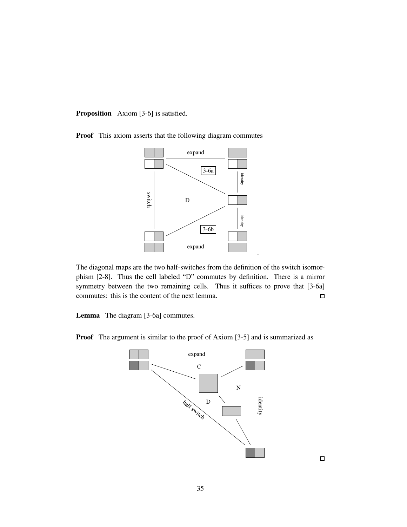Proposition Axiom [3-6] is satisfied.

Proof This axiom asserts that the following diagram commutes



The diagonal maps are the two half-switches from the definition of the switch isomorphism [2-8]. Thus the cell labeled "D" commutes by definition. There is a mirror symmetry between the two remaining cells. Thus it suffices to prove that [3-6a] commutes: this is the content of the next lemma.  $\Box$ 

.

Lemma The diagram [3-6a] commutes.

Proof The argument is similar to the proof of Axiom [3-5] and is summarized as



 $\Box$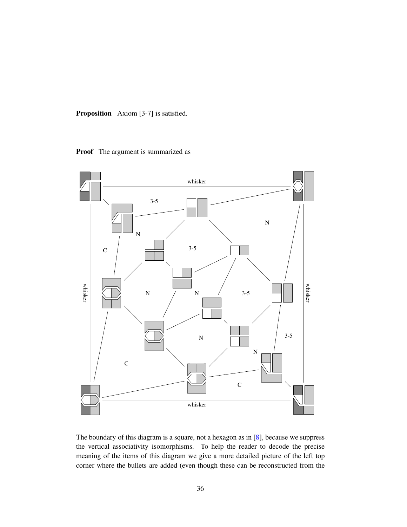Proposition Axiom [3-7] is satisfied.

Proof The argument is summarized as



The boundary of this diagram is a square, not a hexagon as in [8], because we suppress the vertical associativity isomorphisms. To help the reader to decode the precise meaning of the items of this diagram we give a more detailed picture of the left top corner where the bullets are added (even though these can be reconstructed from the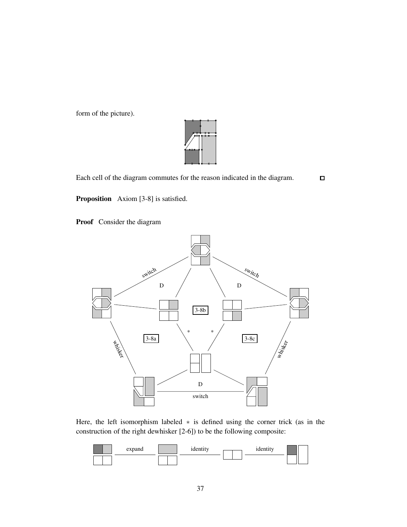form of the picture).



 $\Box$ 

Each cell of the diagram commutes for the reason indicated in the diagram.

Proposition Axiom [3-8] is satisfied.

Proof Consider the diagram



Here, the left isomorphism labeled ∗ is defined using the corner trick (as in the construction of the right dewhisker [2-6]) to be the following composite:

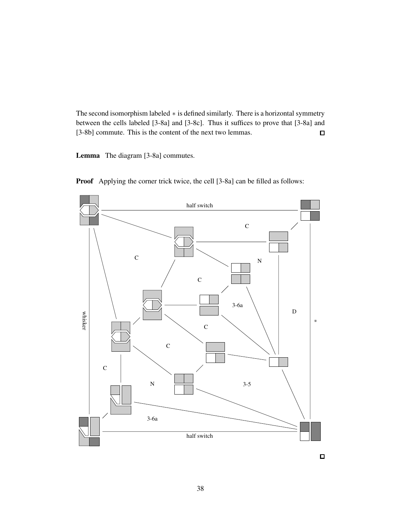The second isomorphism labeled ∗ is defined similarly. There is a horizontal symmetry between the cells labeled [3-8a] and [3-8c]. Thus it suffices to prove that [3-8a] and [3-8b] commute. This is the content of the next two lemmas.  $\Box$ 

Lemma The diagram [3-8a] commutes.





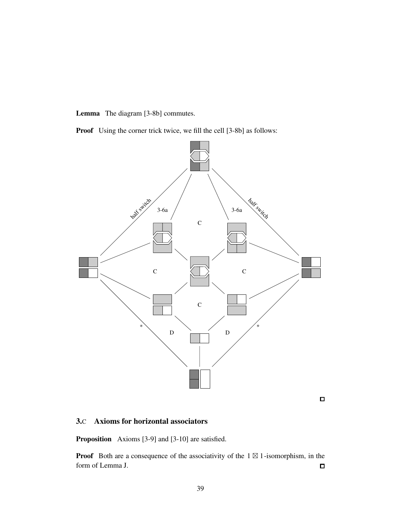Lemma The diagram [3-8b] commutes.

Proof Using the corner trick twice, we fill the cell [3-8b] as follows:



 $\Box$ 

## 3.C Axioms for horizontal associators

Proposition Axioms [3-9] and [3-10] are satisfied.

**Proof** Both are a consequence of the associativity of the  $1 \boxtimes 1$ -isomorphism, in the form of Lemma J.  $\Box$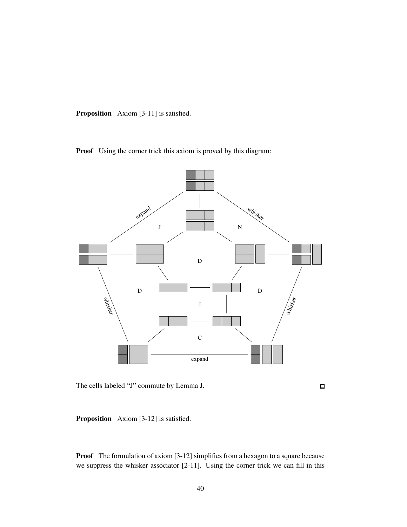Proposition Axiom [3-11] is satisfied.

Proof Using the corner trick this axiom is proved by this diagram:



The cells labeled "J" commute by Lemma J.

 $\Box$ 

Proposition Axiom [3-12] is satisfied.

Proof The formulation of axiom [3-12] simplifies from a hexagon to a square because we suppress the whisker associator [2-11]. Using the corner trick we can fill in this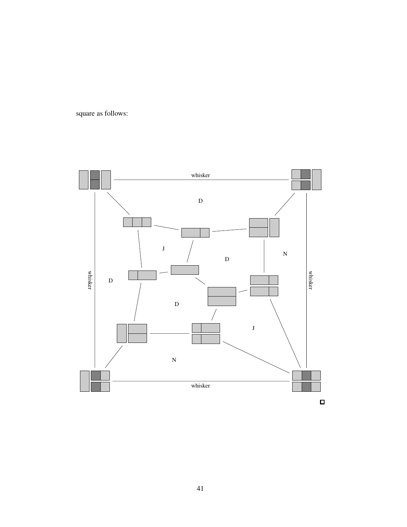square as follows:

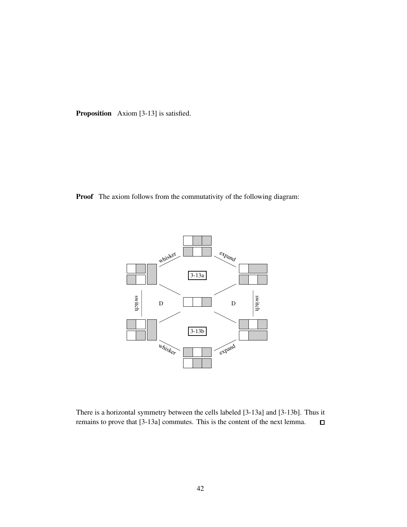Proposition Axiom [3-13] is satisfied.

Proof The axiom follows from the commutativity of the following diagram:



There is a horizontal symmetry between the cells labeled [3-13a] and [3-13b]. Thus it remains to prove that [3-13a] commutes. This is the content of the next lemma.  $\Box$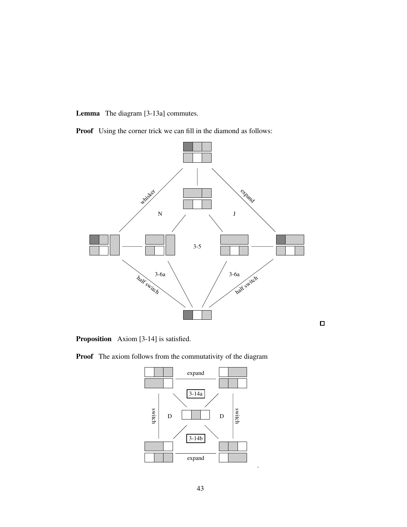Lemma The diagram [3-13a] commutes.

Proof Using the corner trick we can fill in the diamond as follows:



Proposition Axiom [3-14] is satisfied.

Proof The axiom follows from the commutativity of the diagram



.

 $\Box$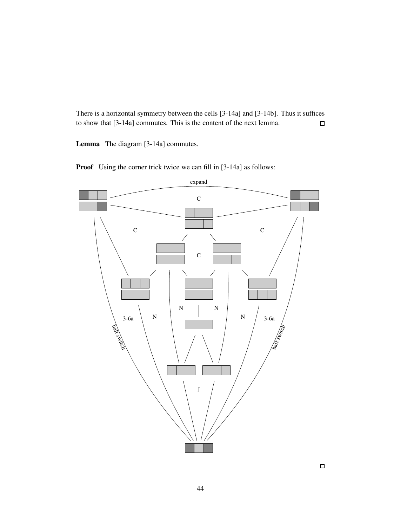There is a horizontal symmetry between the cells [3-14a] and [3-14b]. Thus it suffices to show that [3-14a] commutes. This is the content of the next lemma.  $\Box$ 

Lemma The diagram [3-14a] commutes.

C  $\overline{C}$   $\overline{C}$   $\overline{C}$ C N N N N J  $3-6a$   $N$   $\overline{)}$   $N$   $3-6a$ expand half switch half switch

**Proof** Using the corner trick twice we can fill in [3-14a] as follows: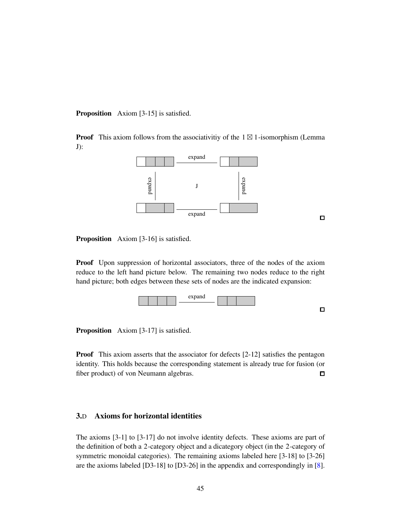Proposition Axiom [3-15] is satisfied.

**Proof** This axiom follows from the associativity of the  $1 \boxtimes 1$ -isomorphism (Lemma J):



 $\Box$ 

Proposition Axiom [3-16] is satisfied.

Proof Upon suppression of horizontal associators, three of the nodes of the axiom reduce to the left hand picture below. The remaining two nodes reduce to the right hand picture; both edges between these sets of nodes are the indicated expansion:



Proposition Axiom [3-17] is satisfied.

**Proof** This axiom asserts that the associator for defects [2-12] satisfies the pentagon identity. This holds because the corresponding statement is already true for fusion (or fiber product) of von Neumann algebras.  $\Box$ 

#### 3.D Axioms for horizontal identities

The axioms [3-1] to [3-17] do not involve identity defects. These axioms are part of the definition of both a 2-category object and a dicategory object (in the 2-category of symmetric monoidal categories). The remaining axioms labeled here [3-18] to [3-26] are the axioms labeled [D3-18] to [D3-26] in the appendix and correspondingly in [8].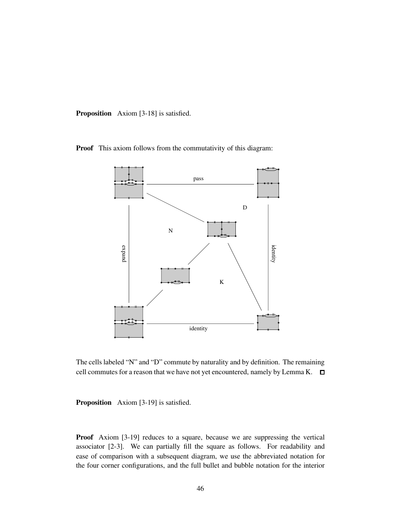Proposition Axiom [3-18] is satisfied.

Proof This axiom follows from the commutativity of this diagram:



The cells labeled "N" and "D" commute by naturality and by definition. The remaining cell commutes for a reason that we have not yet encountered, namely by Lemma K.  $\square$ 

Proposition Axiom [3-19] is satisfied.

Proof Axiom [3-19] reduces to a square, because we are suppressing the vertical associator [2-3]. We can partially fill the square as follows. For readability and ease of comparison with a subsequent diagram, we use the abbreviated notation for the four corner configurations, and the full bullet and bubble notation for the interior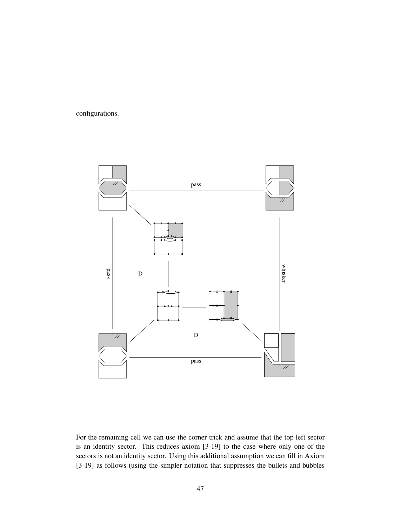configurations.



For the remaining cell we can use the corner trick and assume that the top left sector is an identity sector. This reduces axiom [3-19] to the case where only one of the sectors is not an identity sector. Using this additional assumption we can fill in Axiom [3-19] as follows (using the simpler notation that suppresses the bullets and bubbles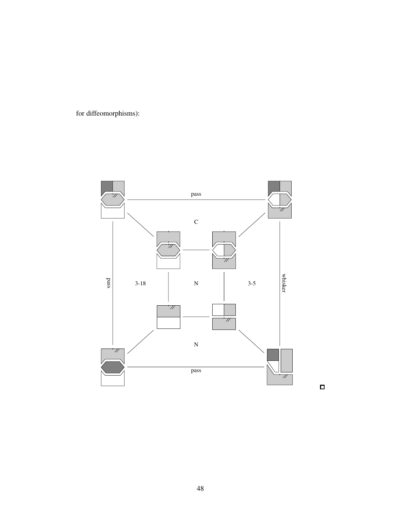for diffeomorphisms):



 $\Box$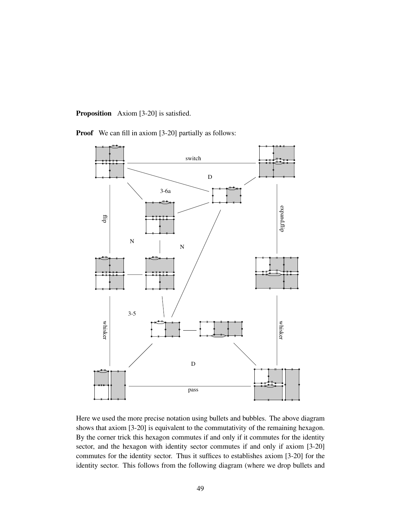Proposition Axiom [3-20] is satisfied.

Proof We can fill in axiom [3-20] partially as follows:



Here we used the more precise notation using bullets and bubbles. The above diagram shows that axiom [3-20] is equivalent to the commutativity of the remaining hexagon. By the corner trick this hexagon commutes if and only if it commutes for the identity sector, and the hexagon with identity sector commutes if and only if axiom [3-20] commutes for the identity sector. Thus it suffices to establishes axiom [3-20] for the identity sector. This follows from the following diagram (where we drop bullets and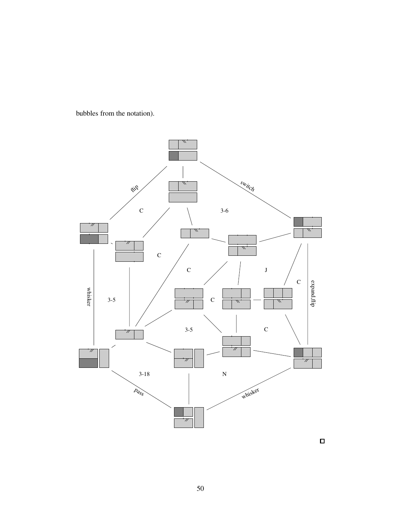bubbles from the notation).



 $\Box$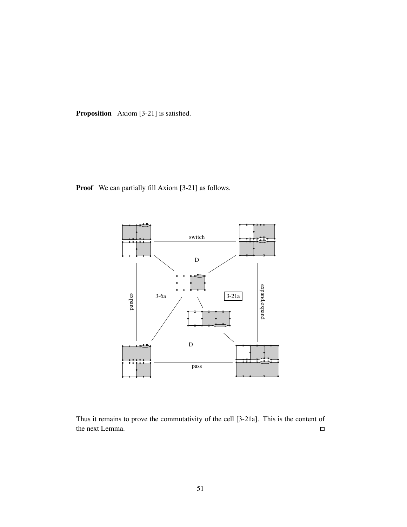Proposition Axiom [3-21] is satisfied.

Proof We can partially fill Axiom [3-21] as follows.



Thus it remains to prove the commutativity of the cell [3-21a]. This is the content of the next Lemma.  $\Box$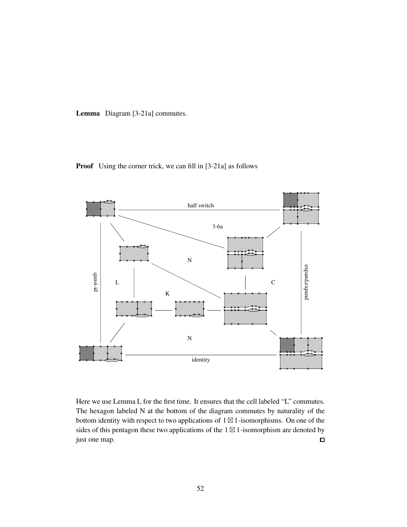Lemma Diagram [3-21a] commutes.



Proof Using the corner trick, we can fill in [3-21a] as follows

Here we use Lemma L for the first time. It ensures that the cell labeled "L" commutes. The hexagon labeled N at the bottom of the diagram commutes by naturality of the bottom identity with respect to two applications of 1⊠ 1-isomorphisms. On one of the sides of this pentagon these two applications of the  $1 \boxtimes 1$ -isomorphism are denoted by just one map.  $\Box$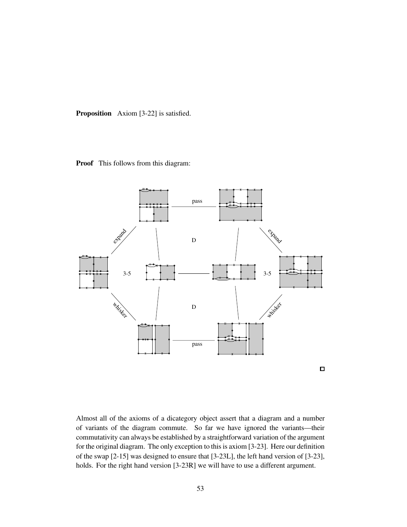Proposition Axiom [3-22] is satisfied.





Almost all of the axioms of a dicategory object assert that a diagram and a number of variants of the diagram commute. So far we have ignored the variants—their commutativity can always be established by a straightforward variation of the argument for the original diagram. The only exception to this is axiom [3-23]. Here our definition of the swap [2-15] was designed to ensure that [3-23L], the left hand version of [3-23], holds. For the right hand version [3-23R] we will have to use a different argument.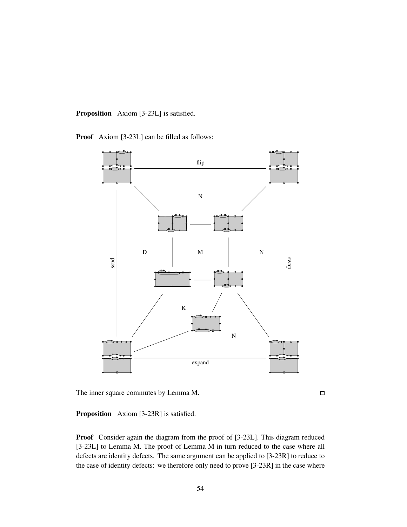Proposition Axiom [3-23L] is satisfied.

Proof Axiom [3-23L] can be filled as follows:



The inner square commutes by Lemma M.

 $\Box$ 

Proposition Axiom [3-23R] is satisfied.

Proof Consider again the diagram from the proof of [3-23L]. This diagram reduced [3-23L] to Lemma M. The proof of Lemma M in turn reduced to the case where all defects are identity defects. The same argument can be applied to [3-23R] to reduce to the case of identity defects: we therefore only need to prove [3-23R] in the case where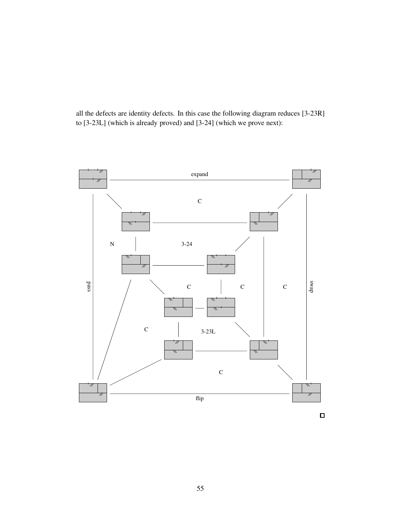all the defects are identity defects. In this case the following diagram reduces [3-23R] to [3-23L] (which is already proved) and [3-24] (which we prove next):



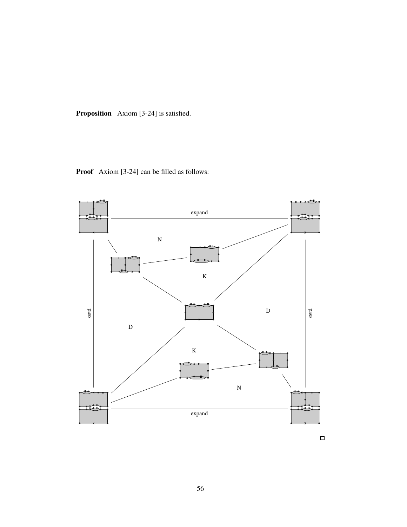Proposition Axiom [3-24] is satisfied.





 $\Box$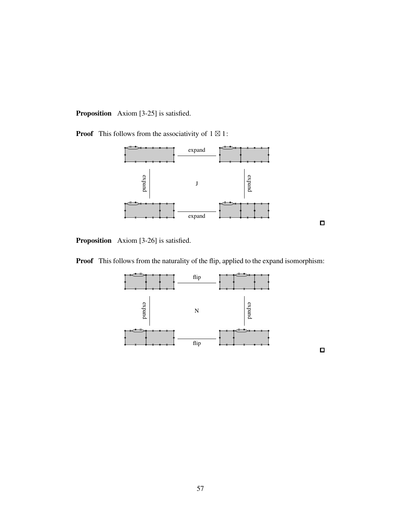Proposition Axiom [3-25] is satisfied.

**Proof** This follows from the associativity of  $1 \boxtimes 1$ :





Proposition Axiom [3-26] is satisfied.

Proof This follows from the naturality of the flip, applied to the expand isomorphism:



 $\Box$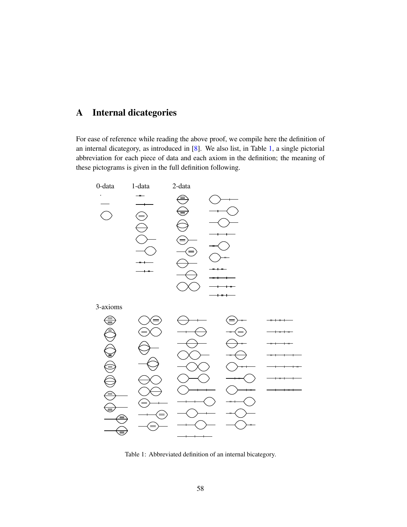# <span id="page-57-0"></span>A Internal dicategories

For ease of reference while reading the above proof, we compile here the definition of an internal dicategory, as introduced in [8]. We also list, in Table [1,](#page-57-1) a single pictorial abbreviation for each piece of data and each axiom in the definition; the meaning of these pictograms is given in the full definition following.



<span id="page-57-1"></span>Table 1: Abbreviated definition of an internal bicategory.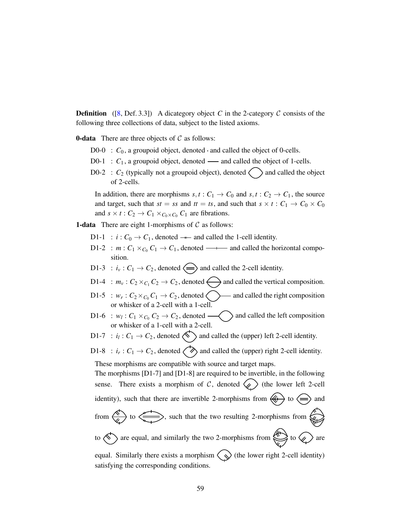**Definition** ([8, Def. 3.3]) A dicategory object *C* in the 2-category  $C$  consists of the following three collections of data, subject to the listed axioms.

**0-data** There are three objects of  $C$  as follows:

- D0-0 :  $C_0$ , a groupoid object, denoted and called the object of 0-cells.
- $D0-1$  :  $C_1$ , a groupoid object, denoted and called the object of 1-cells.
- D0-2 :  $C_2$  (typically not a groupoid object), denoted  $\langle \rangle$  and called the object of 2-cells.

In addition, there are morphisms  $s, t : C_1 \rightarrow C_0$  and  $s, t : C_2 \rightarrow C_1$ , the source and target, such that  $st = ss$  and  $tt = ts$ , and such that  $s \times t : C_1 \to C_0 \times C_0$ and  $s \times t : C_2 \to C_1 \times_{C_0 \times C_0} C_1$  are fibrations.

**1-data** There are eight 1-morphisms of  $C$  as follows:

satisfying the corresponding conditions.

- D1-1 :  $i: C_0 \rightarrow C_1$ , denoted  $-$  and called the 1-cell identity.
- D1-2 :  $m: C_1 \times_{C_0} C_1 \rightarrow C_1$ , denoted  $\longrightarrow$  and called the horizontal composition.
- D1-3 :  $i_v$  :  $C_1 \rightarrow C_2$ , denoted  $\iff$  and called the 2-cell identity.
- D1-4 :  $m_v$ :  $C_2 \times_{C_1} C_2 \rightarrow C_2$ , denoted  $\bigodot$  and called the vertical composition.
- D1-5 :  $w_r$ :  $C_2 \times_{C_0} C_1 \rightarrow C_2$ , denoted  $\left\langle \right\rangle$  and called the right composition or whisker of a 2-cell with a 1-cell.
- D1-6 :  $w_l$  :  $C_1 \times_{C_0} C_2 \rightarrow C_2$ , denoted  $\longrightarrow$  and called the left composition or whisker of a 1-cell with a 2-cell.
- D1-7 :  $i_l: C_1 \rightarrow C_2$ , denoted  $\ll$  and called the (upper) left 2-cell identity.

D1-8 :  $i_r: C_1 \rightarrow C_2$ , denoted  $\langle \diamondsuit \rangle$  and called the (upper) right 2-cell identity. These morphisms are compatible with source and target maps.

The morphisms [D1-7] and [D1-8] are required to be invertible, in the following sense. There exists a morphism of  $C$ , denoted  $\langle \rangle$  (the lower left 2-cell identity), such that there are invertible 2-morphisms from  $\langle \leftrightarrow \rangle$  to  $\langle \Rightarrow \rangle$  and from  $\overbrace{\leftarrow}$  to  $\overbrace{\leftarrow}$ , such that the two resulting 2-morphisms from  $\overbrace{\leftarrow}$ to  $\bigotimes$  are equal, and similarly the two 2-morphisms from  $\bigotimes$  to  $\bigotimes$  are equal. Similarly there exists a morphism  $\langle \bigotimes$  (the lower right 2-cell identity)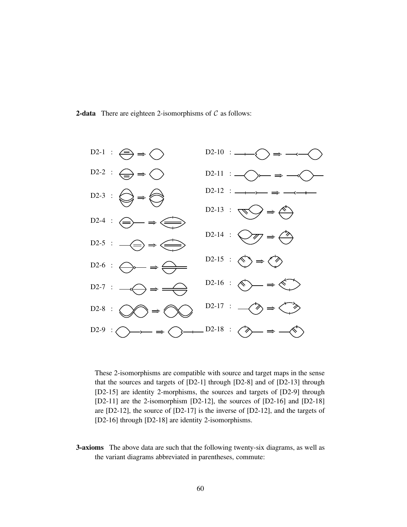**2-data** There are eighteen 2-isomorphisms of  $C$  as follows:



These 2-isomorphisms are compatible with source and target maps in the sense that the sources and targets of [D2-1] through [D2-8] and of [D2-13] through [D2-15] are identity 2-morphisms, the sources and targets of [D2-9] through [D2-11] are the 2-isomorphism [D2-12], the sources of [D2-16] and [D2-18] are [D2-12], the source of [D2-17] is the inverse of [D2-12], and the targets of [D2-16] through [D2-18] are identity 2-isomorphisms.

3-axioms The above data are such that the following twenty-six diagrams, as well as the variant diagrams abbreviated in parentheses, commute: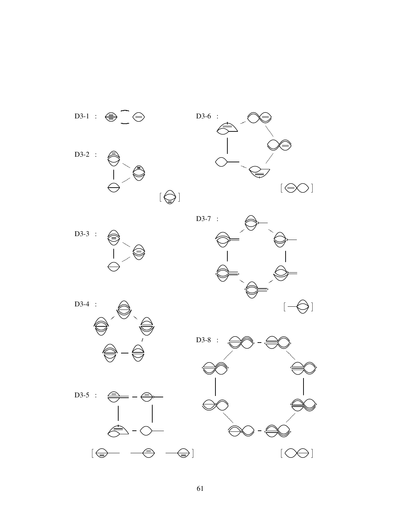

61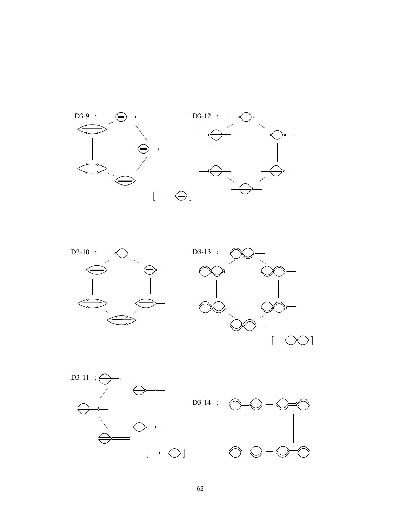





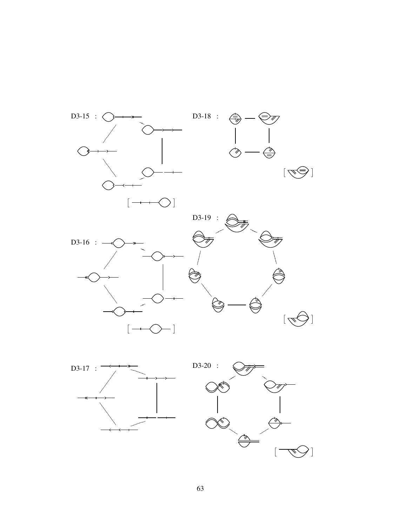

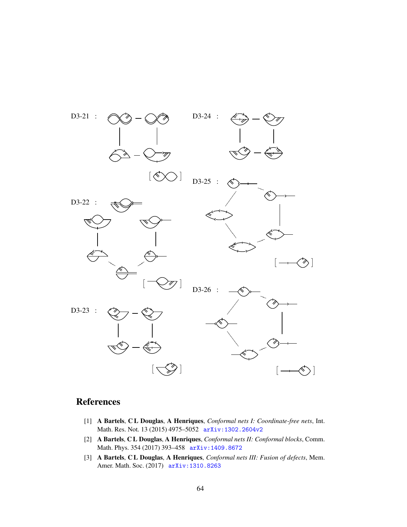

# **References**

- [1] A Bartels, C L Douglas, A Henriques, *Conformal nets I: Coordinate-free nets*, Int. Math. Res. Not. 13 (2015) 4975–5052 [arXiv:1302.2604v2](http://arxiv.org/abs/1302.2604v2)
- [2] A Bartels, C L Douglas, A Henriques, *Conformal nets II: Conformal blocks*, Comm. Math. Phys. 354 (2017) 393–458 [arXiv:1409.8672](http://arxiv.org/abs/1409.8672)
- [3] A Bartels, C L Douglas, A Henriques, *Conformal nets III: Fusion of defects*, Mem. Amer. Math. Soc. (2017) [arXiv:1310.8263](http://arxiv.org/abs/1310.8263)